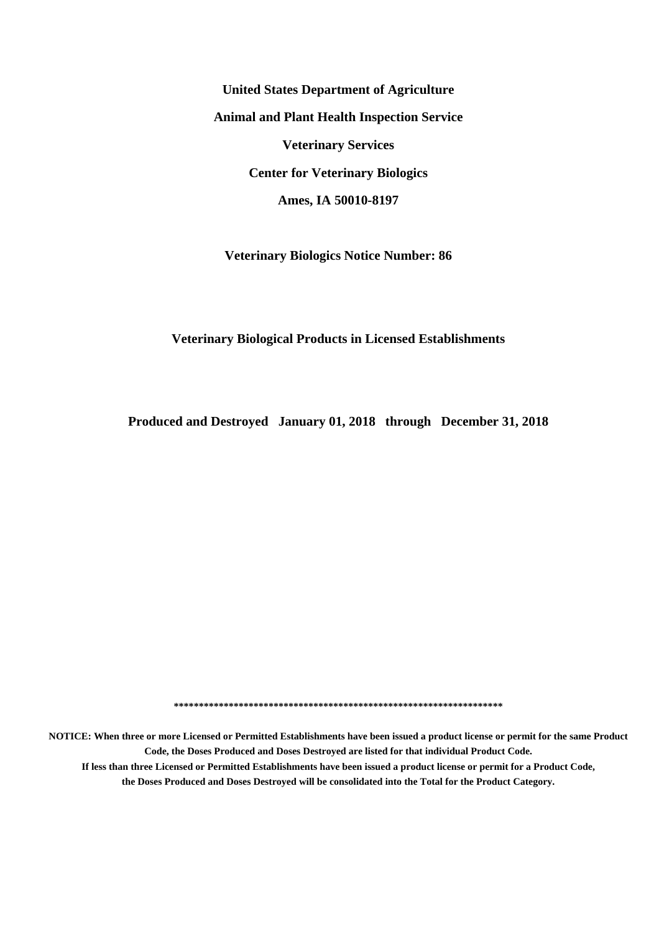**United States Department of Agriculture Animal and Plant Health Inspection Service Veterinary Services Center for Veterinary Biologics Ames, IA 50010-8197**

**Veterinary Biologics Notice Number: 86**

#### **Veterinary Biological Products in Licensed Establishments**

**Produced and Destroyed January 01, 2018 through December 31, 2018**

**\*\*\*\*\*\*\*\*\*\*\*\*\*\*\*\*\*\*\*\*\*\*\*\*\*\*\*\*\*\*\*\*\*\*\*\*\*\*\*\*\*\*\*\*\*\*\*\*\*\*\*\*\*\*\*\*\*\*\*\*\*\*\*\*\*\***

**NOTICE: When three or more Licensed or Permitted Establishments have been issued a product license or permit for the same Product Code, the Doses Produced and Doses Destroyed are listed for that individual Product Code. If less than three Licensed or Permitted Establishments have been issued a product license or permit for a Product Code, the Doses Produced and Doses Destroyed will be consolidated into the Total for the Product Category.**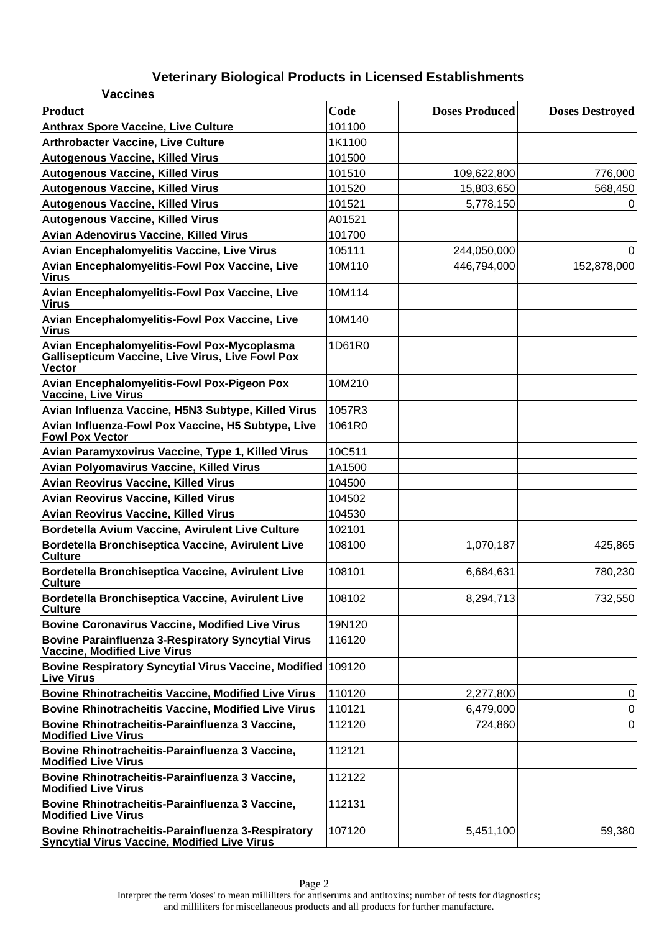| <b>Vaccines</b>                                                                                                         |        |                       |                        |
|-------------------------------------------------------------------------------------------------------------------------|--------|-----------------------|------------------------|
| Product                                                                                                                 | Code   | <b>Doses Produced</b> | <b>Doses Destroyed</b> |
| <b>Anthrax Spore Vaccine, Live Culture</b>                                                                              | 101100 |                       |                        |
| <b>Arthrobacter Vaccine, Live Culture</b>                                                                               | 1K1100 |                       |                        |
| <b>Autogenous Vaccine, Killed Virus</b>                                                                                 | 101500 |                       |                        |
| <b>Autogenous Vaccine, Killed Virus</b>                                                                                 | 101510 | 109,622,800           | 776,000                |
| <b>Autogenous Vaccine, Killed Virus</b>                                                                                 | 101520 | 15,803,650            | 568,450                |
| <b>Autogenous Vaccine, Killed Virus</b>                                                                                 | 101521 | 5,778,150             | 0                      |
| <b>Autogenous Vaccine, Killed Virus</b>                                                                                 | A01521 |                       |                        |
| Avian Adenovirus Vaccine, Killed Virus                                                                                  | 101700 |                       |                        |
| Avian Encephalomyelitis Vaccine, Live Virus                                                                             | 105111 | 244,050,000           | 0                      |
| Avian Encephalomyelitis-Fowl Pox Vaccine, Live<br><b>Virus</b>                                                          | 10M110 | 446,794,000           | 152,878,000            |
| Avian Encephalomyelitis-Fowl Pox Vaccine, Live<br><b>Virus</b>                                                          | 10M114 |                       |                        |
| Avian Encephalomyelitis-Fowl Pox Vaccine, Live<br><b>Virus</b>                                                          | 10M140 |                       |                        |
| Avian Encephalomyelitis-Fowl Pox-Mycoplasma<br><b>Gallisepticum Vaccine, Live Virus, Live Fowl Pox</b><br><b>Vector</b> | 1D61R0 |                       |                        |
| Avian Encephalomyelitis-Fowl Pox-Pigeon Pox<br>Vaccine, Live Virus                                                      | 10M210 |                       |                        |
| Avian Influenza Vaccine, H5N3 Subtype, Killed Virus                                                                     | 1057R3 |                       |                        |
| Avian Influenza-Fowl Pox Vaccine, H5 Subtype, Live<br><b>Fowl Pox Vector</b>                                            | 1061R0 |                       |                        |
| Avian Paramyxovirus Vaccine, Type 1, Killed Virus                                                                       | 10C511 |                       |                        |
| <b>Avian Polyomavirus Vaccine, Killed Virus</b>                                                                         | 1A1500 |                       |                        |
| Avian Reovirus Vaccine, Killed Virus                                                                                    | 104500 |                       |                        |
| <b>Avian Reovirus Vaccine, Killed Virus</b>                                                                             | 104502 |                       |                        |
| <b>Avian Reovirus Vaccine, Killed Virus</b>                                                                             | 104530 |                       |                        |
| Bordetella Avium Vaccine, Avirulent Live Culture                                                                        | 102101 |                       |                        |
| Bordetella Bronchiseptica Vaccine, Avirulent Live<br><b>Culture</b>                                                     | 108100 | 1,070,187             | 425,865                |
| Bordetella Bronchiseptica Vaccine, Avirulent Live<br><b>Culture</b>                                                     | 108101 | 6,684,631             | 780,230                |
| Bordetella Bronchiseptica Vaccine, Avirulent Live<br><b>Culture</b>                                                     | 108102 | 8,294,713             | 732,550                |
| <b>Bovine Coronavirus Vaccine, Modified Live Virus</b>                                                                  | 19N120 |                       |                        |
| <b>Bovine Parainfluenza 3-Respiratory Syncytial Virus</b><br>Vaccine, Modified Live Virus                               | 116120 |                       |                        |
| Bovine Respiratory Syncytial Virus Vaccine, Modified<br><b>Live Virus</b>                                               | 109120 |                       |                        |
| <b>Bovine Rhinotracheitis Vaccine, Modified Live Virus</b>                                                              | 110120 | 2,277,800             | 0                      |
| <b>Bovine Rhinotracheitis Vaccine, Modified Live Virus</b>                                                              | 110121 | 6,479,000             | $\pmb{0}$              |
| Bovine Rhinotracheitis-Parainfluenza 3 Vaccine,<br><b>Modified Live Virus</b>                                           | 112120 | 724,860               | $\mathbf 0$            |
| Bovine Rhinotracheitis-Parainfluenza 3 Vaccine,<br><b>Modified Live Virus</b>                                           | 112121 |                       |                        |
| Bovine Rhinotracheitis-Parainfluenza 3 Vaccine,<br><b>Modified Live Virus</b>                                           | 112122 |                       |                        |
| Bovine Rhinotracheitis-Parainfluenza 3 Vaccine,<br><b>Modified Live Virus</b>                                           | 112131 |                       |                        |
| Bovine Rhinotracheitis-Parainfluenza 3-Respiratory<br>Syncytial Virus Vaccine, Modified Live Virus                      | 107120 | 5,451,100             | 59,380                 |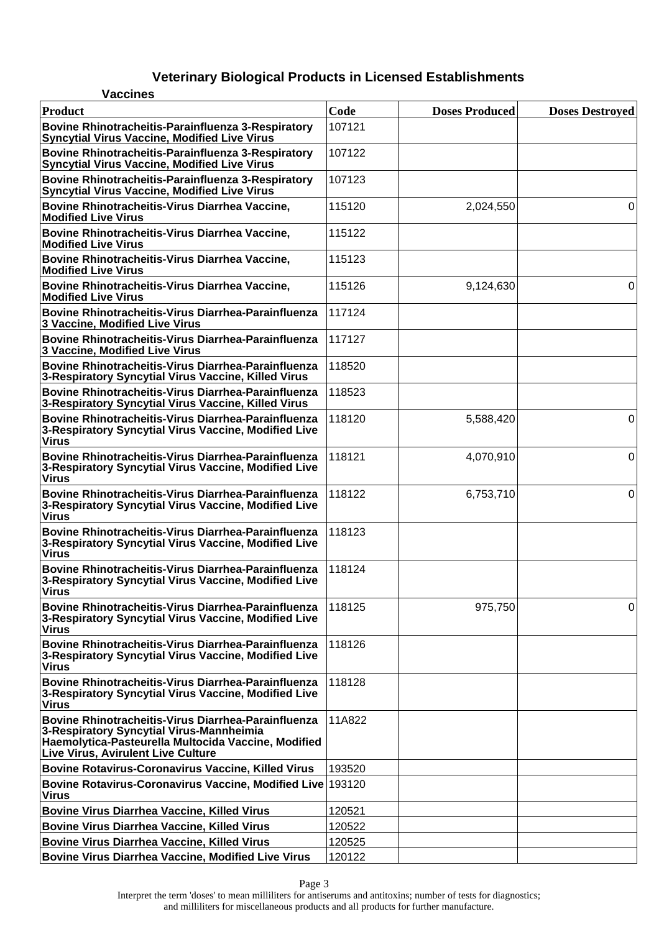| <b>Vaccines</b>                                                                                                                                                                                            |        |                       |                        |
|------------------------------------------------------------------------------------------------------------------------------------------------------------------------------------------------------------|--------|-----------------------|------------------------|
| <b>Product</b>                                                                                                                                                                                             | Code   | <b>Doses Produced</b> | <b>Doses Destroyed</b> |
| Bovine Rhinotracheitis-Parainfluenza 3-Respiratory<br><b>Syncytial Virus Vaccine, Modified Live Virus</b>                                                                                                  | 107121 |                       |                        |
| Bovine Rhinotracheitis-Parainfluenza 3-Respiratory<br><b>Syncytial Virus Vaccine, Modified Live Virus</b>                                                                                                  | 107122 |                       |                        |
| Bovine Rhinotracheitis-Parainfluenza 3-Respiratory<br><b>Syncytial Virus Vaccine, Modified Live Virus</b>                                                                                                  | 107123 |                       |                        |
| Bovine Rhinotracheitis-Virus Diarrhea Vaccine,<br><b>Modified Live Virus</b>                                                                                                                               | 115120 | 2,024,550             | 0                      |
| Bovine Rhinotracheitis-Virus Diarrhea Vaccine,<br><b>Modified Live Virus</b>                                                                                                                               | 115122 |                       |                        |
| Bovine Rhinotracheitis-Virus Diarrhea Vaccine,<br><b>Modified Live Virus</b>                                                                                                                               | 115123 |                       |                        |
| Bovine Rhinotracheitis-Virus Diarrhea Vaccine,<br><b>Modified Live Virus</b>                                                                                                                               | 115126 | 9,124,630             | 0                      |
| <b>Bovine Rhinotracheitis-Virus Diarrhea-Parainfluenza</b><br>3 Vaccine, Modified Live Virus                                                                                                               | 117124 |                       |                        |
| Bovine Rhinotracheitis-Virus Diarrhea-Parainfluenza<br>3 Vaccine, Modified Live Virus                                                                                                                      | 117127 |                       |                        |
| Bovine Rhinotracheitis-Virus Diarrhea-Parainfluenza<br>3-Respiratory Syncytial Virus Vaccine, Killed Virus                                                                                                 | 118520 |                       |                        |
| Bovine Rhinotracheitis-Virus Diarrhea-Parainfluenza<br>3-Respiratory Syncytial Virus Vaccine, Killed Virus                                                                                                 | 118523 |                       |                        |
| Bovine Rhinotracheitis-Virus Diarrhea-Parainfluenza<br>3-Respiratory Syncytial Virus Vaccine, Modified Live<br><b>Virus</b>                                                                                | 118120 | 5,588,420             | 0                      |
| Bovine Rhinotracheitis-Virus Diarrhea-Parainfluenza<br>3-Respiratory Syncytial Virus Vaccine, Modified Live<br><b>Virus</b>                                                                                | 118121 | 4,070,910             | $\overline{0}$         |
| Bovine Rhinotracheitis-Virus Diarrhea-Parainfluenza<br>3-Respiratory Syncytial Virus Vaccine, Modified Live<br><b>Virus</b>                                                                                | 118122 | 6,753,710             | 0                      |
| Bovine Rhinotracheitis-Virus Diarrhea-Parainfluenza<br>3-Respiratory Syncytial Virus Vaccine, Modified Live<br><b>Virus</b>                                                                                | 118123 |                       |                        |
| Bovine Rhinotracheitis-Virus Diarrhea-Parainfluenza<br>3-Respiratory Syncytial Virus Vaccine, Modified Live<br><b>Virus</b>                                                                                | 118124 |                       |                        |
| Bovine Rhinotracheitis-Virus Diarrhea-Parainfluenza<br>3-Respiratory Syncytial Virus Vaccine, Modified Live<br><b>Virus</b>                                                                                | 118125 | 975,750               | 0                      |
| <b>Bovine Rhinotracheitis-Virus Diarrhea-Parainfluenza</b><br>3-Respiratory Syncytial Virus Vaccine, Modified Live<br><b>Virus</b>                                                                         | 118126 |                       |                        |
| <b>Bovine Rhinotracheitis-Virus Diarrhea-Parainfluenza</b><br>3-Respiratory Syncytial Virus Vaccine, Modified Live<br><b>Virus</b>                                                                         | 118128 |                       |                        |
| <b>Bovine Rhinotracheitis-Virus Diarrhea-Parainfluenza</b><br>3-Respiratory Syncytial Virus-Mannheimia<br>Haemolytica-Pasteurella Multocida Vaccine, Modified<br><b>Live Virus, Avirulent Live Culture</b> | 11A822 |                       |                        |
| <b>Bovine Rotavirus-Coronavirus Vaccine, Killed Virus</b>                                                                                                                                                  | 193520 |                       |                        |
| Bovine Rotavirus-Coronavirus Vaccine, Modified Live 193120<br><b>Virus</b>                                                                                                                                 |        |                       |                        |
| <b>Bovine Virus Diarrhea Vaccine, Killed Virus</b>                                                                                                                                                         | 120521 |                       |                        |
| <b>Bovine Virus Diarrhea Vaccine, Killed Virus</b>                                                                                                                                                         | 120522 |                       |                        |
| <b>Bovine Virus Diarrhea Vaccine, Killed Virus</b>                                                                                                                                                         | 120525 |                       |                        |
| <b>Bovine Virus Diarrhea Vaccine, Modified Live Virus</b>                                                                                                                                                  | 120122 |                       |                        |

Page 3

Interpret the term 'doses' to mean milliliters for antiserums and antitoxins; number of tests for diagnostics; and milliliters for miscellaneous products and all products for further manufacture.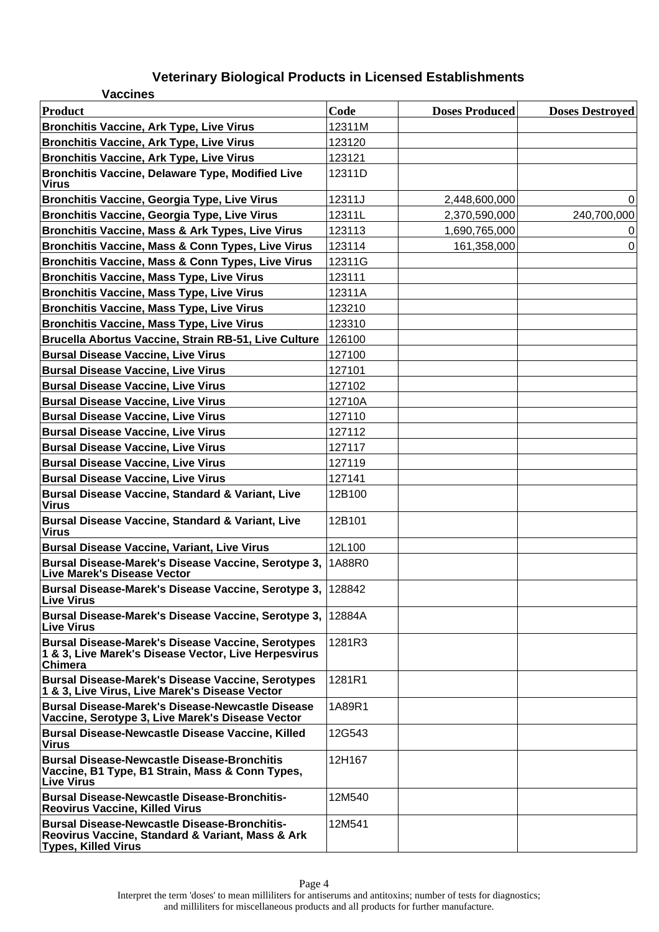| <b>Vaccines</b>                                                                                                                       |        |                       |                        |
|---------------------------------------------------------------------------------------------------------------------------------------|--------|-----------------------|------------------------|
| <b>Product</b>                                                                                                                        | Code   | <b>Doses Produced</b> | <b>Doses Destroyed</b> |
| <b>Bronchitis Vaccine, Ark Type, Live Virus</b>                                                                                       | 12311M |                       |                        |
| <b>Bronchitis Vaccine, Ark Type, Live Virus</b>                                                                                       | 123120 |                       |                        |
| <b>Bronchitis Vaccine, Ark Type, Live Virus</b>                                                                                       | 123121 |                       |                        |
| <b>Bronchitis Vaccine, Delaware Type, Modified Live</b><br>Virus                                                                      | 12311D |                       |                        |
| <b>Bronchitis Vaccine, Georgia Type, Live Virus</b>                                                                                   | 12311J | 2,448,600,000         | 0                      |
| <b>Bronchitis Vaccine, Georgia Type, Live Virus</b>                                                                                   | 12311L | 2,370,590,000         | 240,700,000            |
| Bronchitis Vaccine, Mass & Ark Types, Live Virus                                                                                      | 123113 | 1,690,765,000         | 0                      |
| Bronchitis Vaccine, Mass & Conn Types, Live Virus                                                                                     | 123114 | 161,358,000           | 0                      |
| <b>Bronchitis Vaccine, Mass &amp; Conn Types, Live Virus</b>                                                                          | 12311G |                       |                        |
| <b>Bronchitis Vaccine, Mass Type, Live Virus</b>                                                                                      | 123111 |                       |                        |
| <b>Bronchitis Vaccine, Mass Type, Live Virus</b>                                                                                      | 12311A |                       |                        |
| <b>Bronchitis Vaccine, Mass Type, Live Virus</b>                                                                                      | 123210 |                       |                        |
| <b>Bronchitis Vaccine, Mass Type, Live Virus</b>                                                                                      | 123310 |                       |                        |
| Brucella Abortus Vaccine, Strain RB-51, Live Culture                                                                                  | 126100 |                       |                        |
| <b>Bursal Disease Vaccine, Live Virus</b>                                                                                             | 127100 |                       |                        |
| <b>Bursal Disease Vaccine, Live Virus</b>                                                                                             | 127101 |                       |                        |
| <b>Bursal Disease Vaccine, Live Virus</b>                                                                                             | 127102 |                       |                        |
| <b>Bursal Disease Vaccine, Live Virus</b>                                                                                             | 12710A |                       |                        |
| <b>Bursal Disease Vaccine, Live Virus</b>                                                                                             | 127110 |                       |                        |
| <b>Bursal Disease Vaccine, Live Virus</b>                                                                                             | 127112 |                       |                        |
| <b>Bursal Disease Vaccine, Live Virus</b>                                                                                             | 127117 |                       |                        |
| <b>Bursal Disease Vaccine, Live Virus</b>                                                                                             | 127119 |                       |                        |
| <b>Bursal Disease Vaccine, Live Virus</b>                                                                                             | 127141 |                       |                        |
| <b>Bursal Disease Vaccine, Standard &amp; Variant, Live</b><br>Virus                                                                  | 12B100 |                       |                        |
| <b>Bursal Disease Vaccine, Standard &amp; Variant, Live</b><br>Virus                                                                  | 12B101 |                       |                        |
| <b>Bursal Disease Vaccine, Variant, Live Virus</b>                                                                                    | 12L100 |                       |                        |
| Bursal Disease-Marek's Disease Vaccine, Serotype 3,<br><b>Live Marek's Disease Vector</b>                                             | 1A88R0 |                       |                        |
| Bursal Disease-Marek's Disease Vaccine, Serotype 3,<br><b>Live Virus</b>                                                              | 128842 |                       |                        |
| Bursal Disease-Marek's Disease Vaccine, Serotype 3, 12884A<br><b>Live Virus</b>                                                       |        |                       |                        |
| <b>Bursal Disease-Marek's Disease Vaccine, Serotypes</b><br>1 & 3, Live Marek's Disease Vector, Live Herpesvirus<br><b>Chimera</b>    | 1281R3 |                       |                        |
| <b>Bursal Disease-Marek's Disease Vaccine, Serotypes</b><br>1 & 3, Live Virus, Live Marek's Disease Vector                            | 1281R1 |                       |                        |
| <b>Bursal Disease-Marek's Disease-Newcastle Disease</b><br>Vaccine, Serotype 3, Live Marek's Disease Vector                           | 1A89R1 |                       |                        |
| <b>Bursal Disease-Newcastle Disease Vaccine, Killed</b><br>Virus                                                                      | 12G543 |                       |                        |
| <b>Bursal Disease-Newcastle Disease-Bronchitis</b><br>Vaccine, B1 Type, B1 Strain, Mass & Conn Types,<br><b>Live Virus</b>            | 12H167 |                       |                        |
| <b>Bursal Disease-Newcastle Disease-Bronchitis-</b><br><b>Reovirus Vaccine, Killed Virus</b>                                          | 12M540 |                       |                        |
| <b>Bursal Disease-Newcastle Disease-Bronchitis-</b><br>Reovirus Vaccine, Standard & Variant, Mass & Ark<br><b>Types, Killed Virus</b> | 12M541 |                       |                        |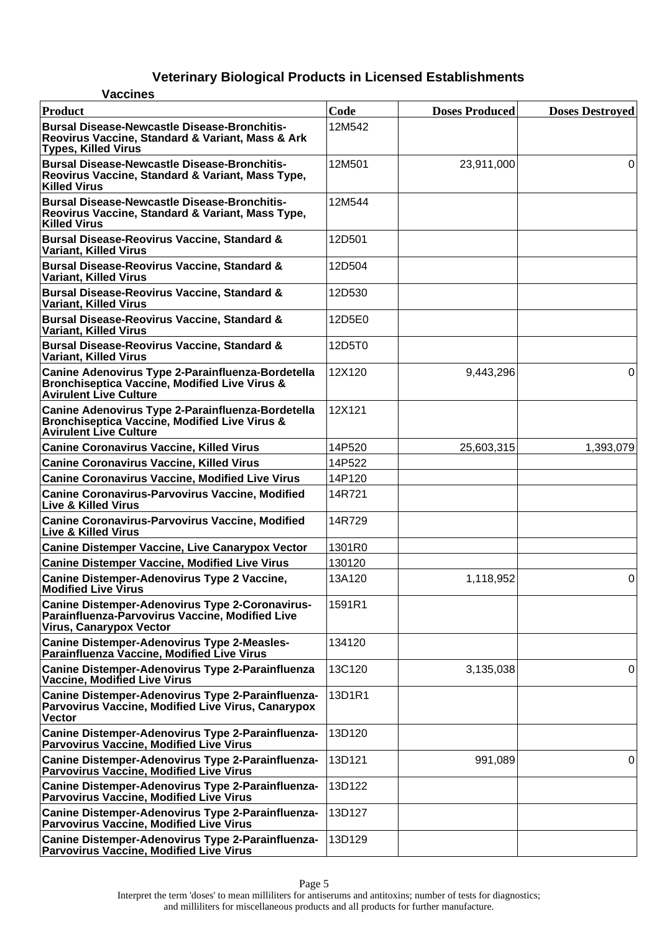| <b>Vaccines</b>                                                                                                                                |        |                       |                        |
|------------------------------------------------------------------------------------------------------------------------------------------------|--------|-----------------------|------------------------|
| Product                                                                                                                                        | Code   | <b>Doses Produced</b> | <b>Doses Destroyed</b> |
| Bursal Disease-Newcastle Disease-Bronchitis-<br>Reovirus Vaccine, Standard & Variant, Mass & Ark<br><b>Types, Killed Virus</b>                 | 12M542 |                       |                        |
| <b>Bursal Disease-Newcastle Disease-Bronchitis-</b><br>Reovirus Vaccine, Standard & Variant, Mass Type,<br><b>Killed Virus</b>                 | 12M501 | 23,911,000            | 0                      |
| Bursal Disease-Newcastle Disease-Bronchitis-<br>Reovirus Vaccine, Standard & Variant, Mass Type,<br><b>Killed Virus</b>                        | 12M544 |                       |                        |
| <b>Bursal Disease-Reovirus Vaccine, Standard &amp;</b><br>Variant, Killed Virus                                                                | 12D501 |                       |                        |
| <b>Bursal Disease-Reovirus Vaccine, Standard &amp;</b><br>Variant, Killed Virus                                                                | 12D504 |                       |                        |
| <b>Bursal Disease-Reovirus Vaccine, Standard &amp;</b><br>Variant, Killed Virus                                                                | 12D530 |                       |                        |
| <b>Bursal Disease-Reovirus Vaccine, Standard &amp;</b><br>Variant, Killed Virus                                                                | 12D5E0 |                       |                        |
| <b>Bursal Disease-Reovirus Vaccine, Standard &amp;</b><br>Variant, Killed Virus                                                                | 12D5T0 |                       |                        |
| Canine Adenovirus Type 2-Parainfluenza-Bordetella<br><b>Bronchiseptica Vaccine, Modified Live Virus &amp;</b><br><b>Avirulent Live Culture</b> | 12X120 | 9,443,296             | 0                      |
| Canine Adenovirus Type 2-Parainfluenza-Bordetella<br><b>Bronchiseptica Vaccine, Modified Live Virus &amp;</b><br><b>Avirulent Live Culture</b> | 12X121 |                       |                        |
| <b>Canine Coronavirus Vaccine, Killed Virus</b>                                                                                                | 14P520 | 25,603,315            | 1,393,079              |
| <b>Canine Coronavirus Vaccine, Killed Virus</b>                                                                                                | 14P522 |                       |                        |
| <b>Canine Coronavirus Vaccine, Modified Live Virus</b>                                                                                         | 14P120 |                       |                        |
| <b>Canine Coronavirus-Parvovirus Vaccine, Modified</b><br><b>Live &amp; Killed Virus</b>                                                       | 14R721 |                       |                        |
| <b>Canine Coronavirus-Parvovirus Vaccine, Modified</b><br><b>Live &amp; Killed Virus</b>                                                       | 14R729 |                       |                        |
| <b>Canine Distemper Vaccine, Live Canarypox Vector</b>                                                                                         | 1301R0 |                       |                        |
| <b>Canine Distemper Vaccine, Modified Live Virus</b>                                                                                           | 130120 |                       |                        |
| Canine Distemper-Adenovirus Type 2 Vaccine,<br><b>Modified Live Virus</b>                                                                      | 13A120 | 1,118,952             | $\overline{0}$         |
| Canine Distemper-Adenovirus Type 2-Coronavirus-<br>Parainfluenza-Parvovirus Vaccine, Modified Live<br><b>Virus, Canarypox Vector</b>           | 1591R1 |                       |                        |
| <b>Canine Distemper-Adenovirus Type 2-Measles-</b><br>Parainfluenza Vaccine, Modified Live Virus                                               | 134120 |                       |                        |
| Canine Distemper-Adenovirus Type 2-Parainfluenza<br><b>Vaccine, Modified Live Virus</b>                                                        | 13C120 | 3,135,038             | 0                      |
| Canine Distemper-Adenovirus Type 2-Parainfluenza-<br><b>Parvovirus Vaccine, Modified Live Virus, Canarypox</b><br><b>Vector</b>                | 13D1R1 |                       |                        |
| Canine Distemper-Adenovirus Type 2-Parainfluenza-<br><b>Parvovirus Vaccine, Modified Live Virus</b>                                            | 13D120 |                       |                        |
| Canine Distemper-Adenovirus Type 2-Parainfluenza-<br><b>Parvovirus Vaccine, Modified Live Virus</b>                                            | 13D121 | 991,089               | 0                      |
| Canine Distemper-Adenovirus Type 2-Parainfluenza-<br><b>Parvovirus Vaccine, Modified Live Virus</b>                                            | 13D122 |                       |                        |
| Canine Distemper-Adenovirus Type 2-Parainfluenza-<br><b>Parvovirus Vaccine, Modified Live Virus</b>                                            | 13D127 |                       |                        |
| Canine Distemper-Adenovirus Type 2-Parainfluenza-<br><b>Parvovirus Vaccine, Modified Live Virus</b>                                            | 13D129 |                       |                        |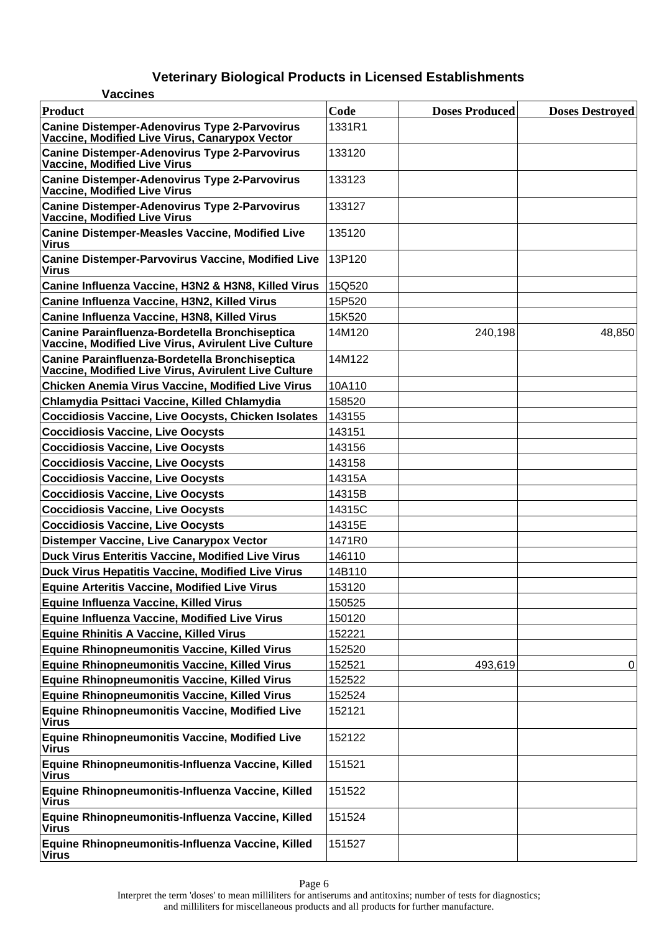| <b>Vaccines</b>                                                                                        |        |                       |                        |
|--------------------------------------------------------------------------------------------------------|--------|-----------------------|------------------------|
| <b>Product</b>                                                                                         | Code   | <b>Doses Produced</b> | <b>Doses Destroyed</b> |
| <b>Canine Distemper-Adenovirus Type 2-Parvovirus</b><br>Vaccine, Modified Live Virus, Canarypox Vector | 1331R1 |                       |                        |
| <b>Canine Distemper-Adenovirus Type 2-Parvovirus</b><br><b>Vaccine, Modified Live Virus</b>            | 133120 |                       |                        |
| <b>Canine Distemper-Adenovirus Type 2-Parvovirus</b><br><b>Vaccine, Modified Live Virus</b>            | 133123 |                       |                        |
| <b>Canine Distemper-Adenovirus Type 2-Parvovirus</b><br><b>Vaccine, Modified Live Virus</b>            | 133127 |                       |                        |
| <b>Canine Distemper-Measles Vaccine, Modified Live</b><br><b>Virus</b>                                 | 135120 |                       |                        |
| <b>Canine Distemper-Parvovirus Vaccine, Modified Live</b><br><b>Virus</b>                              | 13P120 |                       |                        |
| Canine Influenza Vaccine, H3N2 & H3N8, Killed Virus                                                    | 15Q520 |                       |                        |
| Canine Influenza Vaccine, H3N2, Killed Virus                                                           | 15P520 |                       |                        |
| Canine Influenza Vaccine, H3N8, Killed Virus                                                           | 15K520 |                       |                        |
| Canine Parainfluenza-Bordetella Bronchiseptica<br>Vaccine, Modified Live Virus, Avirulent Live Culture | 14M120 | 240,198               | 48,850                 |
| Canine Parainfluenza-Bordetella Bronchiseptica<br>Vaccine, Modified Live Virus, Avirulent Live Culture | 14M122 |                       |                        |
| <b>Chicken Anemia Virus Vaccine, Modified Live Virus</b>                                               | 10A110 |                       |                        |
| Chlamydia Psittaci Vaccine, Killed Chlamydia                                                           | 158520 |                       |                        |
| <b>Coccidiosis Vaccine, Live Oocysts, Chicken Isolates</b>                                             | 143155 |                       |                        |
| <b>Coccidiosis Vaccine, Live Oocysts</b>                                                               | 143151 |                       |                        |
| <b>Coccidiosis Vaccine, Live Oocysts</b>                                                               | 143156 |                       |                        |
| <b>Coccidiosis Vaccine, Live Oocysts</b>                                                               | 143158 |                       |                        |
| <b>Coccidiosis Vaccine, Live Oocysts</b>                                                               | 14315A |                       |                        |
| <b>Coccidiosis Vaccine, Live Oocysts</b>                                                               | 14315B |                       |                        |
| <b>Coccidiosis Vaccine, Live Oocysts</b>                                                               | 14315C |                       |                        |
| <b>Coccidiosis Vaccine, Live Oocysts</b>                                                               | 14315E |                       |                        |
| <b>Distemper Vaccine, Live Canarypox Vector</b>                                                        | 1471R0 |                       |                        |
| <b>Duck Virus Enteritis Vaccine, Modified Live Virus</b>                                               | 146110 |                       |                        |
| Duck Virus Hepatitis Vaccine, Modified Live Virus                                                      | 14B110 |                       |                        |
| <b>Equine Arteritis Vaccine, Modified Live Virus</b>                                                   | 153120 |                       |                        |
| Equine Influenza Vaccine, Killed Virus                                                                 | 150525 |                       |                        |
| Equine Influenza Vaccine, Modified Live Virus                                                          | 150120 |                       |                        |
| <b>Equine Rhinitis A Vaccine, Killed Virus</b>                                                         | 152221 |                       |                        |
| <b>Equine Rhinopneumonitis Vaccine, Killed Virus</b>                                                   | 152520 |                       |                        |
| <b>Equine Rhinopneumonitis Vaccine, Killed Virus</b>                                                   | 152521 | 493,619               | 0                      |
| Equine Rhinopneumonitis Vaccine, Killed Virus                                                          | 152522 |                       |                        |
| <b>Equine Rhinopneumonitis Vaccine, Killed Virus</b>                                                   | 152524 |                       |                        |
| <b>Equine Rhinopneumonitis Vaccine, Modified Live</b><br><b>Virus</b>                                  | 152121 |                       |                        |
| <b>Equine Rhinopneumonitis Vaccine, Modified Live</b><br><b>Virus</b>                                  | 152122 |                       |                        |
| Equine Rhinopneumonitis-Influenza Vaccine, Killed<br><b>Virus</b>                                      | 151521 |                       |                        |
| Equine Rhinopneumonitis-Influenza Vaccine, Killed<br><b>Virus</b>                                      | 151522 |                       |                        |
| Equine Rhinopneumonitis-Influenza Vaccine, Killed<br><b>Virus</b>                                      | 151524 |                       |                        |
| Equine Rhinopneumonitis-Influenza Vaccine, Killed<br><b>Virus</b>                                      | 151527 |                       |                        |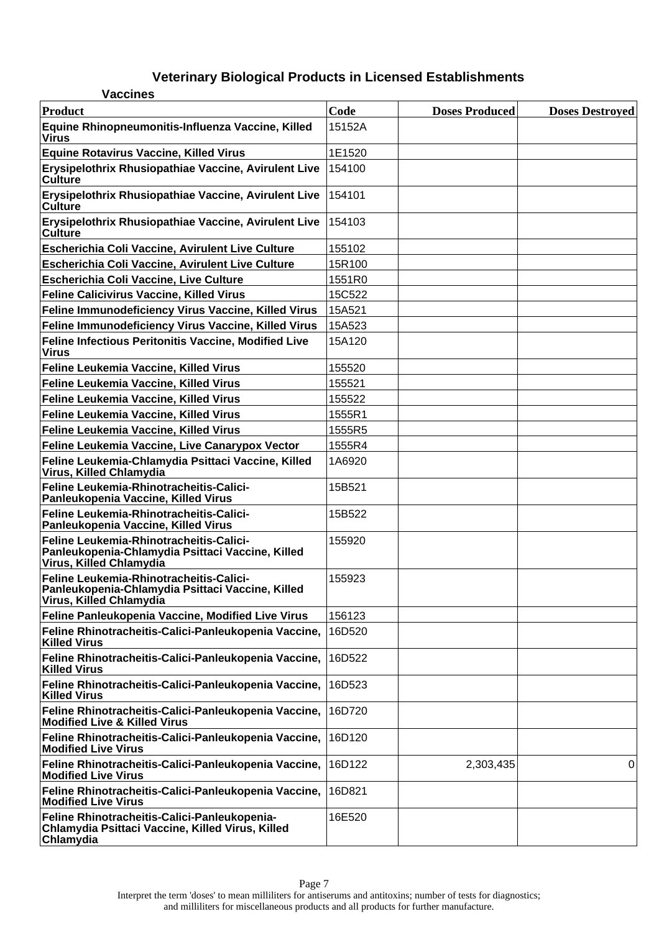| <b>Vaccines</b>                                                                                                        |        |                       |                        |
|------------------------------------------------------------------------------------------------------------------------|--------|-----------------------|------------------------|
| Product                                                                                                                | Code   | <b>Doses Produced</b> | <b>Doses Destroyed</b> |
| Equine Rhinopneumonitis-Influenza Vaccine, Killed<br><b>Virus</b>                                                      | 15152A |                       |                        |
| <b>Equine Rotavirus Vaccine, Killed Virus</b>                                                                          | 1E1520 |                       |                        |
| Erysipelothrix Rhusiopathiae Vaccine, Avirulent Live<br><b>Culture</b>                                                 | 154100 |                       |                        |
| Erysipelothrix Rhusiopathiae Vaccine, Avirulent Live<br><b>Culture</b>                                                 | 154101 |                       |                        |
| Erysipelothrix Rhusiopathiae Vaccine, Avirulent Live<br><b>Culture</b>                                                 | 154103 |                       |                        |
| <b>Escherichia Coli Vaccine, Avirulent Live Culture</b>                                                                | 155102 |                       |                        |
| Escherichia Coli Vaccine, Avirulent Live Culture                                                                       | 15R100 |                       |                        |
| <b>Escherichia Coli Vaccine, Live Culture</b>                                                                          | 1551R0 |                       |                        |
| <b>Feline Calicivirus Vaccine, Killed Virus</b>                                                                        | 15C522 |                       |                        |
| Feline Immunodeficiency Virus Vaccine, Killed Virus                                                                    | 15A521 |                       |                        |
| Feline Immunodeficiency Virus Vaccine, Killed Virus                                                                    | 15A523 |                       |                        |
| Feline Infectious Peritonitis Vaccine, Modified Live<br><b>Virus</b>                                                   | 15A120 |                       |                        |
| Feline Leukemia Vaccine, Killed Virus                                                                                  | 155520 |                       |                        |
| Feline Leukemia Vaccine, Killed Virus                                                                                  | 155521 |                       |                        |
| Feline Leukemia Vaccine, Killed Virus                                                                                  | 155522 |                       |                        |
| Feline Leukemia Vaccine, Killed Virus                                                                                  | 1555R1 |                       |                        |
| Feline Leukemia Vaccine, Killed Virus                                                                                  | 1555R5 |                       |                        |
| Feline Leukemia Vaccine, Live Canarypox Vector                                                                         | 1555R4 |                       |                        |
| Feline Leukemia-Chlamydia Psittaci Vaccine, Killed<br>Virus, Killed Chlamydia                                          | 1A6920 |                       |                        |
| Feline Leukemia-Rhinotracheitis-Calici-<br>Panleukopenia Vaccine, Killed Virus                                         | 15B521 |                       |                        |
| Feline Leukemia-Rhinotracheitis-Calici-<br>Panleukopenia Vaccine, Killed Virus                                         | 15B522 |                       |                        |
| Feline Leukemia-Rhinotracheitis-Calici-<br>Panleukopenia-Chlamydia Psittaci Vaccine, Killed<br>Virus, Killed Chlamydia | 155920 |                       |                        |
| Feline Leukemia-Rhinotracheitis-Calici-<br>Panleukopenia-Chlamydia Psittaci Vaccine, Killed<br>Virus, Killed Chlamydia | 155923 |                       |                        |
| Feline Panleukopenia Vaccine, Modified Live Virus                                                                      | 156123 |                       |                        |
| Feline Rhinotracheitis-Calici-Panleukopenia Vaccine,<br><b>Killed Virus</b>                                            | 16D520 |                       |                        |
| Feline Rhinotracheitis-Calici-Panleukopenia Vaccine,<br><b>Killed Virus</b>                                            | 16D522 |                       |                        |
| Feline Rhinotracheitis-Calici-Panleukopenia Vaccine,<br><b>Killed Virus</b>                                            | 16D523 |                       |                        |
| Feline Rhinotracheitis-Calici-Panleukopenia Vaccine,<br><b>Modified Live &amp; Killed Virus</b>                        | 16D720 |                       |                        |
| Feline Rhinotracheitis-Calici-Panleukopenia Vaccine,<br><b>Modified Live Virus</b>                                     | 16D120 |                       |                        |
| Feline Rhinotracheitis-Calici-Panleukopenia Vaccine,<br><b>Modified Live Virus</b>                                     | 16D122 | 2,303,435             | 0                      |
| Feline Rhinotracheitis-Calici-Panleukopenia Vaccine,<br><b>Modified Live Virus</b>                                     | 16D821 |                       |                        |
| Feline Rhinotracheitis-Calici-Panleukopenia-<br>Chlamydia Psittaci Vaccine, Killed Virus, Killed<br>Chlamydia          | 16E520 |                       |                        |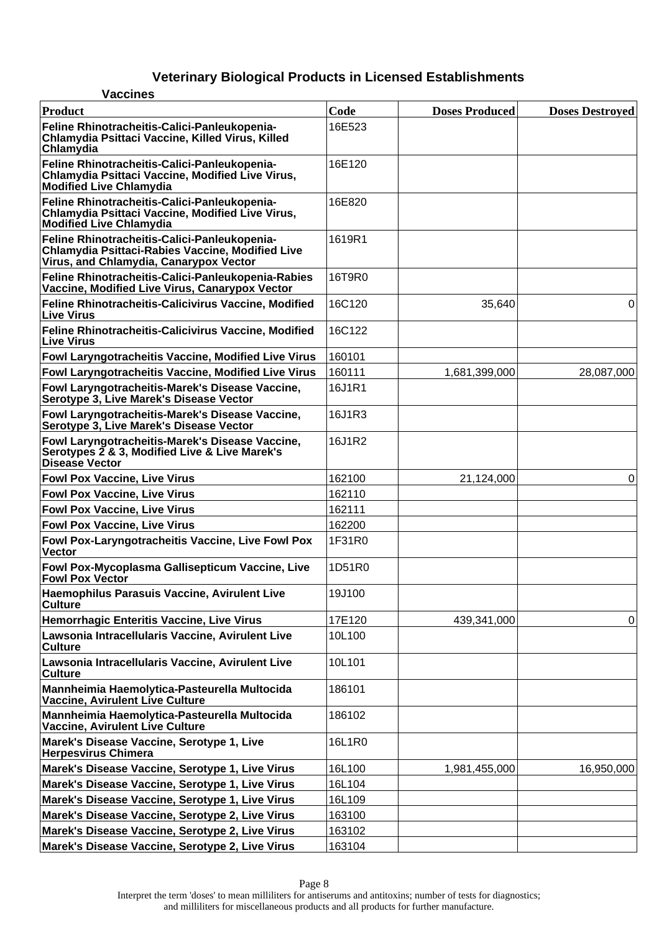| <b>Vaccines</b>                                                                                                                                   |        |                       |                        |
|---------------------------------------------------------------------------------------------------------------------------------------------------|--------|-----------------------|------------------------|
| Product                                                                                                                                           | Code   | <b>Doses Produced</b> | <b>Doses Destroyed</b> |
| Feline Rhinotracheitis-Calici-Panleukopenia-<br>Chlamydia Psittaci Vaccine, Killed Virus, Killed<br>Chlamydia                                     | 16E523 |                       |                        |
| Feline Rhinotracheitis-Calici-Panleukopenia-<br>Chlamydia Psittaci Vaccine, Modified Live Virus,<br><b>Modified Live Chlamydia</b>                | 16E120 |                       |                        |
| Feline Rhinotracheitis-Calici-Panleukopenia-<br>Chlamydia Psittaci Vaccine, Modified Live Virus,<br><b>Modified Live Chlamydia</b>                | 16E820 |                       |                        |
| Feline Rhinotracheitis-Calici-Panleukopenia-<br><b>Chlamydia Psittaci-Rabies Vaccine, Modified Live</b><br>Virus, and Chlamydia, Canarypox Vector | 1619R1 |                       |                        |
| Feline Rhinotracheitis-Calici-Panleukopenia-Rabies<br>Vaccine, Modified Live Virus, Canarypox Vector                                              | 16T9R0 |                       |                        |
| Feline Rhinotracheitis-Calicivirus Vaccine, Modified<br><b>Live Virus</b>                                                                         | 16C120 | 35,640                | 0                      |
| Feline Rhinotracheitis-Calicivirus Vaccine, Modified<br><b>Live Virus</b>                                                                         | 16C122 |                       |                        |
| Fowl Laryngotracheitis Vaccine, Modified Live Virus                                                                                               | 160101 |                       |                        |
| Fowl Laryngotracheitis Vaccine, Modified Live Virus                                                                                               | 160111 | 1,681,399,000         | 28,087,000             |
| Fowl Laryngotracheitis-Marek's Disease Vaccine,<br>Serotype 3, Live Marek's Disease Vector                                                        | 16J1R1 |                       |                        |
| Fowl Laryngotracheitis-Marek's Disease Vaccine,<br>Serotype 3, Live Marek's Disease Vector                                                        | 16J1R3 |                       |                        |
| Fowl Laryngotracheitis-Marek's Disease Vaccine,<br>Serotypes 2 & 3, Modified Live & Live Marek's<br><b>Disease Vector</b>                         | 16J1R2 |                       |                        |
| <b>Fowl Pox Vaccine, Live Virus</b>                                                                                                               | 162100 | 21,124,000            | 0                      |
| <b>Fowl Pox Vaccine, Live Virus</b>                                                                                                               | 162110 |                       |                        |
| <b>Fowl Pox Vaccine, Live Virus</b>                                                                                                               | 162111 |                       |                        |
| <b>Fowl Pox Vaccine, Live Virus</b>                                                                                                               | 162200 |                       |                        |
| Fowl Pox-Laryngotracheitis Vaccine, Live Fowl Pox<br><b>Vector</b>                                                                                | 1F31R0 |                       |                        |
| Fowl Pox-Mycoplasma Gallisepticum Vaccine, Live<br><b>Fowl Pox Vector</b>                                                                         | 1D51R0 |                       |                        |
| Haemophilus Parasuis Vaccine, Avirulent Live<br><b>Culture</b>                                                                                    | 19J100 |                       |                        |
| Hemorrhagic Enteritis Vaccine, Live Virus                                                                                                         | 17E120 | 439,341,000           | 0                      |
| Lawsonia Intracellularis Vaccine, Avirulent Live<br><b>Culture</b>                                                                                | 10L100 |                       |                        |
| Lawsonia Intracellularis Vaccine, Avirulent Live<br><b>Culture</b>                                                                                | 10L101 |                       |                        |
| Mannheimia Haemolytica-Pasteurella Multocida<br>Vaccine, Avirulent Live Culture                                                                   | 186101 |                       |                        |
| Mannheimia Haemolytica-Pasteurella Multocida<br>Vaccine, Avirulent Live Culture                                                                   | 186102 |                       |                        |
| Marek's Disease Vaccine, Serotype 1, Live<br><b>Herpesvirus Chimera</b>                                                                           | 16L1R0 |                       |                        |
| Marek's Disease Vaccine, Serotype 1, Live Virus                                                                                                   | 16L100 | 1,981,455,000         | 16,950,000             |
| Marek's Disease Vaccine, Serotype 1, Live Virus                                                                                                   | 16L104 |                       |                        |
| Marek's Disease Vaccine, Serotype 1, Live Virus                                                                                                   | 16L109 |                       |                        |
| Marek's Disease Vaccine, Serotype 2, Live Virus                                                                                                   | 163100 |                       |                        |
| Marek's Disease Vaccine, Serotype 2, Live Virus                                                                                                   | 163102 |                       |                        |
| Marek's Disease Vaccine, Serotype 2, Live Virus                                                                                                   | 163104 |                       |                        |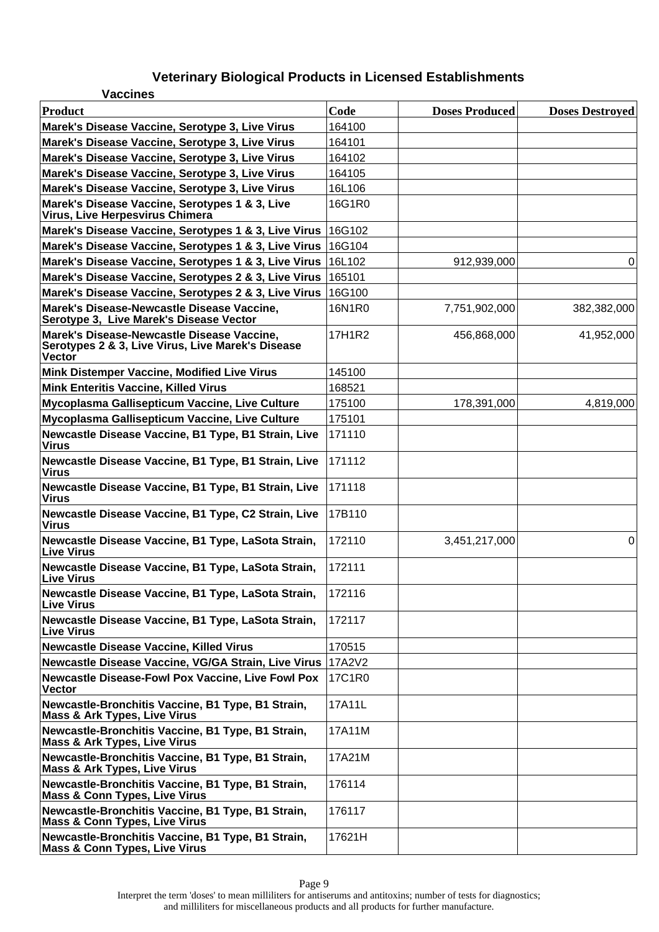| <b>Vaccines</b>                                                                                           |               |                       |                        |
|-----------------------------------------------------------------------------------------------------------|---------------|-----------------------|------------------------|
| Product                                                                                                   | Code          | <b>Doses Produced</b> | <b>Doses Destroyed</b> |
| Marek's Disease Vaccine, Serotype 3, Live Virus                                                           | 164100        |                       |                        |
| Marek's Disease Vaccine, Serotype 3, Live Virus                                                           | 164101        |                       |                        |
| Marek's Disease Vaccine, Serotype 3, Live Virus                                                           | 164102        |                       |                        |
| Marek's Disease Vaccine, Serotype 3, Live Virus                                                           | 164105        |                       |                        |
| Marek's Disease Vaccine, Serotype 3, Live Virus                                                           | 16L106        |                       |                        |
| Marek's Disease Vaccine, Serotypes 1 & 3, Live<br>Virus, Live Herpesvirus Chimera                         | 16G1R0        |                       |                        |
| Marek's Disease Vaccine, Serotypes 1 & 3, Live Virus   16G102                                             |               |                       |                        |
| Marek's Disease Vaccine, Serotypes 1 & 3, Live Virus                                                      | 16G104        |                       |                        |
| Marek's Disease Vaccine, Serotypes 1 & 3, Live Virus                                                      | 16L102        | 912,939,000           | 0                      |
| Marek's Disease Vaccine, Serotypes 2 & 3, Live Virus   165101                                             |               |                       |                        |
| Marek's Disease Vaccine, Serotypes 2 & 3, Live Virus                                                      | 16G100        |                       |                        |
| Marek's Disease-Newcastle Disease Vaccine,<br>Serotype 3, Live Marek's Disease Vector                     | 16N1R0        | 7,751,902,000         | 382,382,000            |
| Marek's Disease-Newcastle Disease Vaccine,<br>Serotypes 2 & 3, Live Virus, Live Marek's Disease<br>Vector | 17H1R2        | 456,868,000           | 41,952,000             |
| Mink Distemper Vaccine, Modified Live Virus                                                               | 145100        |                       |                        |
| <b>Mink Enteritis Vaccine, Killed Virus</b>                                                               | 168521        |                       |                        |
| Mycoplasma Gallisepticum Vaccine, Live Culture                                                            | 175100        | 178,391,000           | 4,819,000              |
| Mycoplasma Gallisepticum Vaccine, Live Culture                                                            | 175101        |                       |                        |
| Newcastle Disease Vaccine, B1 Type, B1 Strain, Live<br><b>Virus</b>                                       | 171110        |                       |                        |
| Newcastle Disease Vaccine, B1 Type, B1 Strain, Live<br><b>Virus</b>                                       | 171112        |                       |                        |
| Newcastle Disease Vaccine, B1 Type, B1 Strain, Live<br><b>Virus</b>                                       | 171118        |                       |                        |
| Newcastle Disease Vaccine, B1 Type, C2 Strain, Live<br><b>Virus</b>                                       | 17B110        |                       |                        |
| Newcastle Disease Vaccine, B1 Type, LaSota Strain,<br><b>Live Virus</b>                                   | 172110        | 3,451,217,000         | 0                      |
| Newcastle Disease Vaccine, B1 Type, LaSota Strain,<br><b>Live Virus</b>                                   | 172111        |                       |                        |
| Newcastle Disease Vaccine, B1 Type, LaSota Strain,<br><b>Live Virus</b>                                   | 172116        |                       |                        |
| Newcastle Disease Vaccine, B1 Type, LaSota Strain,<br><b>Live Virus</b>                                   | 172117        |                       |                        |
| <b>Newcastle Disease Vaccine, Killed Virus</b>                                                            | 170515        |                       |                        |
| Newcastle Disease Vaccine, VG/GA Strain, Live Virus                                                       | <b>17A2V2</b> |                       |                        |
| <b>Newcastle Disease-Fowl Pox Vaccine, Live Fowl Pox</b><br><b>Vector</b>                                 | 17C1R0        |                       |                        |
| Newcastle-Bronchitis Vaccine, B1 Type, B1 Strain,<br><b>Mass &amp; Ark Types, Live Virus</b>              | 17A11L        |                       |                        |
| Newcastle-Bronchitis Vaccine, B1 Type, B1 Strain,<br><b>Mass &amp; Ark Types, Live Virus</b>              | 17A11M        |                       |                        |
| Newcastle-Bronchitis Vaccine, B1 Type, B1 Strain,<br><b>Mass &amp; Ark Types, Live Virus</b>              | 17A21M        |                       |                        |
| Newcastle-Bronchitis Vaccine, B1 Type, B1 Strain,<br><b>Mass &amp; Conn Types, Live Virus</b>             | 176114        |                       |                        |
| Newcastle-Bronchitis Vaccine, B1 Type, B1 Strain,<br><b>Mass &amp; Conn Types, Live Virus</b>             | 176117        |                       |                        |
| Newcastle-Bronchitis Vaccine, B1 Type, B1 Strain,<br><b>Mass &amp; Conn Types, Live Virus</b>             | 17621H        |                       |                        |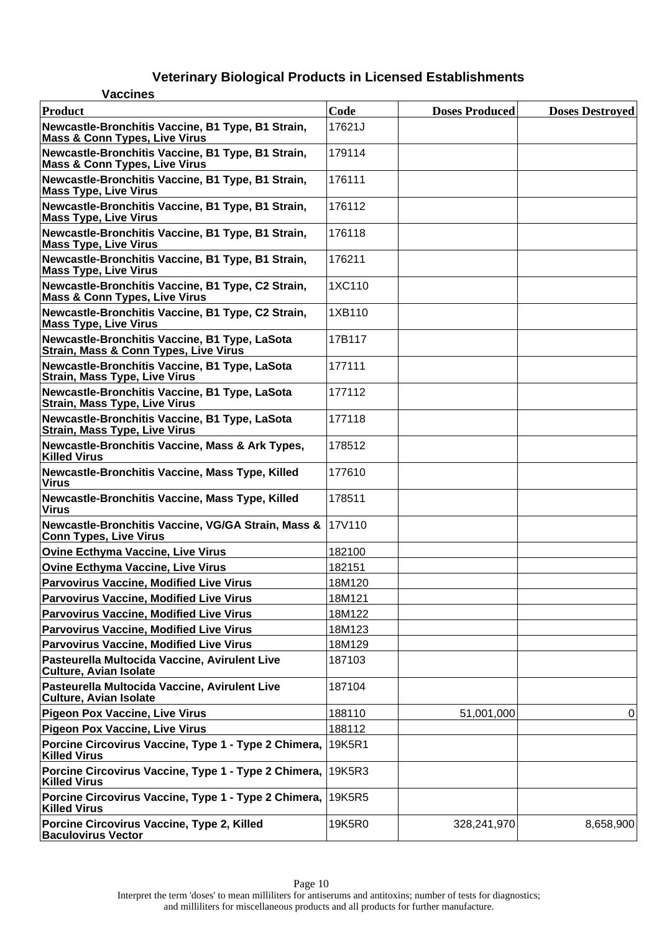| <b>Vaccines</b>                                                                                   |        |                       |                        |
|---------------------------------------------------------------------------------------------------|--------|-----------------------|------------------------|
| <b>Product</b>                                                                                    | Code   | <b>Doses Produced</b> | <b>Doses Destroyed</b> |
| Newcastle-Bronchitis Vaccine, B1 Type, B1 Strain,<br><b>Mass &amp; Conn Types, Live Virus</b>     | 17621J |                       |                        |
| Newcastle-Bronchitis Vaccine, B1 Type, B1 Strain,<br><b>Mass &amp; Conn Types, Live Virus</b>     | 179114 |                       |                        |
| Newcastle-Bronchitis Vaccine, B1 Type, B1 Strain,<br><b>Mass Type, Live Virus</b>                 | 176111 |                       |                        |
| Newcastle-Bronchitis Vaccine, B1 Type, B1 Strain,<br><b>Mass Type, Live Virus</b>                 | 176112 |                       |                        |
| Newcastle-Bronchitis Vaccine, B1 Type, B1 Strain,<br><b>Mass Type, Live Virus</b>                 | 176118 |                       |                        |
| Newcastle-Bronchitis Vaccine, B1 Type, B1 Strain,<br><b>Mass Type, Live Virus</b>                 | 176211 |                       |                        |
| Newcastle-Bronchitis Vaccine, B1 Type, C2 Strain,<br><b>Mass &amp; Conn Types, Live Virus</b>     | 1XC110 |                       |                        |
| Newcastle-Bronchitis Vaccine, B1 Type, C2 Strain,<br><b>Mass Type, Live Virus</b>                 | 1XB110 |                       |                        |
| Newcastle-Bronchitis Vaccine, B1 Type, LaSota<br><b>Strain, Mass &amp; Conn Types, Live Virus</b> | 17B117 |                       |                        |
| Newcastle-Bronchitis Vaccine, B1 Type, LaSota<br><b>Strain, Mass Type, Live Virus</b>             | 177111 |                       |                        |
| Newcastle-Bronchitis Vaccine, B1 Type, LaSota<br><b>Strain, Mass Type, Live Virus</b>             | 177112 |                       |                        |
| Newcastle-Bronchitis Vaccine, B1 Type, LaSota<br><b>Strain, Mass Type, Live Virus</b>             | 177118 |                       |                        |
| Newcastle-Bronchitis Vaccine, Mass & Ark Types,<br><b>Killed Virus</b>                            | 178512 |                       |                        |
| Newcastle-Bronchitis Vaccine, Mass Type, Killed<br><b>Virus</b>                                   | 177610 |                       |                        |
| Newcastle-Bronchitis Vaccine, Mass Type, Killed<br><b>Virus</b>                                   | 178511 |                       |                        |
| Newcastle-Bronchitis Vaccine, VG/GA Strain, Mass &<br><b>Conn Types, Live Virus</b>               | 17V110 |                       |                        |
| <b>Ovine Ecthyma Vaccine, Live Virus</b>                                                          | 182100 |                       |                        |
| <b>Ovine Ecthyma Vaccine, Live Virus</b>                                                          | 182151 |                       |                        |
| <b>Parvovirus Vaccine, Modified Live Virus</b>                                                    | 18M120 |                       |                        |
| <b>Parvovirus Vaccine, Modified Live Virus</b>                                                    | 18M121 |                       |                        |
| <b>Parvovirus Vaccine, Modified Live Virus</b>                                                    | 18M122 |                       |                        |
| <b>Parvovirus Vaccine, Modified Live Virus</b>                                                    | 18M123 |                       |                        |
| <b>Parvovirus Vaccine, Modified Live Virus</b>                                                    | 18M129 |                       |                        |
| Pasteurella Multocida Vaccine, Avirulent Live<br><b>Culture, Avian Isolate</b>                    | 187103 |                       |                        |
| Pasteurella Multocida Vaccine, Avirulent Live<br><b>Culture, Avian Isolate</b>                    | 187104 |                       |                        |
| <b>Pigeon Pox Vaccine, Live Virus</b>                                                             | 188110 | 51,001,000            | 0                      |
| <b>Pigeon Pox Vaccine, Live Virus</b>                                                             | 188112 |                       |                        |
| Porcine Circovirus Vaccine, Type 1 - Type 2 Chimera,<br><b>Killed Virus</b>                       | 19K5R1 |                       |                        |
| Porcine Circovirus Vaccine, Type 1 - Type 2 Chimera,<br><b>Killed Virus</b>                       | 19K5R3 |                       |                        |
| Porcine Circovirus Vaccine, Type 1 - Type 2 Chimera,<br><b>Killed Virus</b>                       | 19K5R5 |                       |                        |
| Porcine Circovirus Vaccine, Type 2, Killed<br><b>Baculovirus Vector</b>                           | 19K5R0 | 328,241,970           | 8,658,900              |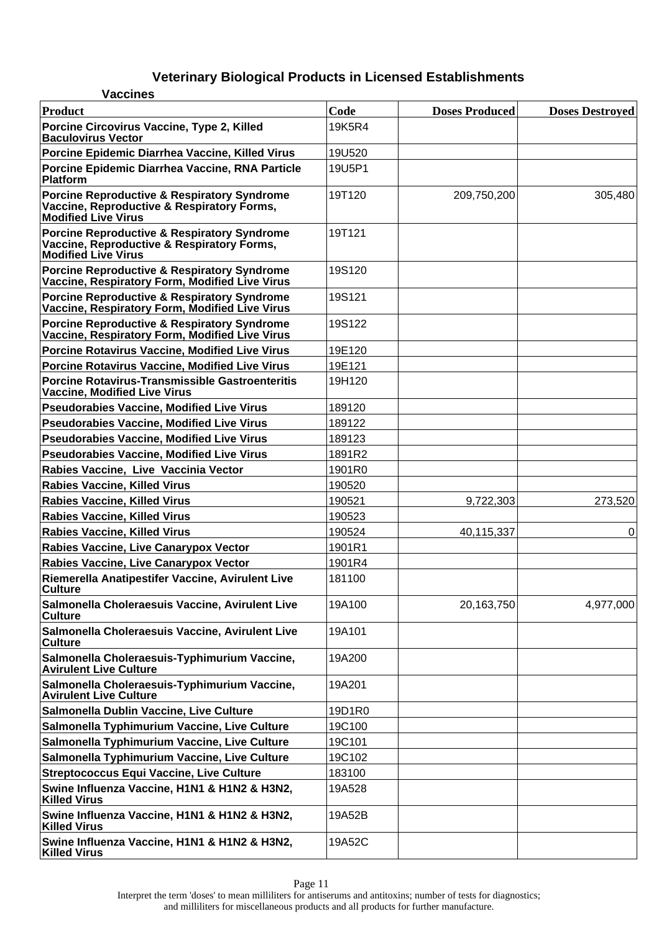| <b>Vaccines</b>                                                                                                                    |        |                       |                        |
|------------------------------------------------------------------------------------------------------------------------------------|--------|-----------------------|------------------------|
| Product                                                                                                                            | Code   | <b>Doses Produced</b> | <b>Doses Destroyed</b> |
| Porcine Circovirus Vaccine, Type 2, Killed<br><b>Baculovirus Vector</b>                                                            | 19K5R4 |                       |                        |
| Porcine Epidemic Diarrhea Vaccine, Killed Virus                                                                                    | 19U520 |                       |                        |
| Porcine Epidemic Diarrhea Vaccine, RNA Particle<br>Platform                                                                        | 19U5P1 |                       |                        |
| <b>Porcine Reproductive &amp; Respiratory Syndrome</b><br>Vaccine, Reproductive & Respiratory Forms,<br><b>Modified Live Virus</b> | 19T120 | 209,750,200           | 305,480                |
| Porcine Reproductive & Respiratory Syndrome<br>Vaccine, Reproductive & Respiratory Forms,<br><b>Modified Live Virus</b>            | 19T121 |                       |                        |
| Porcine Reproductive & Respiratory Syndrome<br>Vaccine, Respiratory Form, Modified Live Virus                                      | 19S120 |                       |                        |
| Porcine Reproductive & Respiratory Syndrome<br>Vaccine, Respiratory Form, Modified Live Virus                                      | 19S121 |                       |                        |
| Porcine Reproductive & Respiratory Syndrome<br>Vaccine, Respiratory Form, Modified Live Virus                                      | 19S122 |                       |                        |
| Porcine Rotavirus Vaccine, Modified Live Virus                                                                                     | 19E120 |                       |                        |
| Porcine Rotavirus Vaccine, Modified Live Virus                                                                                     | 19E121 |                       |                        |
| Porcine Rotavirus-Transmissible Gastroenteritis<br><b>Vaccine, Modified Live Virus</b>                                             | 19H120 |                       |                        |
| <b>Pseudorabies Vaccine, Modified Live Virus</b>                                                                                   | 189120 |                       |                        |
| Pseudorabies Vaccine, Modified Live Virus                                                                                          | 189122 |                       |                        |
| <b>Pseudorabies Vaccine, Modified Live Virus</b>                                                                                   | 189123 |                       |                        |
| <b>Pseudorabies Vaccine, Modified Live Virus</b>                                                                                   | 1891R2 |                       |                        |
| Rabies Vaccine, Live Vaccinia Vector                                                                                               | 1901R0 |                       |                        |
| <b>Rabies Vaccine, Killed Virus</b>                                                                                                | 190520 |                       |                        |
| <b>Rabies Vaccine, Killed Virus</b>                                                                                                | 190521 | 9,722,303             | 273,520                |
| <b>Rabies Vaccine, Killed Virus</b>                                                                                                | 190523 |                       |                        |
| <b>Rabies Vaccine, Killed Virus</b>                                                                                                | 190524 | 40,115,337            | 0                      |
| Rabies Vaccine, Live Canarypox Vector                                                                                              | 1901R1 |                       |                        |
| Rabies Vaccine, Live Canarypox Vector                                                                                              | 1901R4 |                       |                        |
| Riemerella Anatipestifer Vaccine, Avirulent Live<br><b>Culture</b>                                                                 | 181100 |                       |                        |
| Salmonella Choleraesuis Vaccine, Avirulent Live<br><b>Culture</b>                                                                  | 19A100 | 20,163,750            | 4,977,000              |
| Salmonella Choleraesuis Vaccine, Avirulent Live<br><b>Culture</b>                                                                  | 19A101 |                       |                        |
| Salmonella Choleraesuis-Typhimurium Vaccine,<br><b>Avirulent Live Culture</b>                                                      | 19A200 |                       |                        |
| Salmonella Choleraesuis-Typhimurium Vaccine,<br><b>Avirulent Live Culture</b>                                                      | 19A201 |                       |                        |
| Salmonella Dublin Vaccine, Live Culture                                                                                            | 19D1R0 |                       |                        |
| Salmonella Typhimurium Vaccine, Live Culture                                                                                       | 19C100 |                       |                        |
| Salmonella Typhimurium Vaccine, Live Culture                                                                                       | 19C101 |                       |                        |
| Salmonella Typhimurium Vaccine, Live Culture                                                                                       | 19C102 |                       |                        |
| <b>Streptococcus Equi Vaccine, Live Culture</b>                                                                                    | 183100 |                       |                        |
| Swine Influenza Vaccine, H1N1 & H1N2 & H3N2,<br><b>Killed Virus</b>                                                                | 19A528 |                       |                        |
| Swine Influenza Vaccine, H1N1 & H1N2 & H3N2,<br><b>Killed Virus</b>                                                                | 19A52B |                       |                        |
| Swine Influenza Vaccine, H1N1 & H1N2 & H3N2,<br><b>Killed Virus</b>                                                                | 19A52C |                       |                        |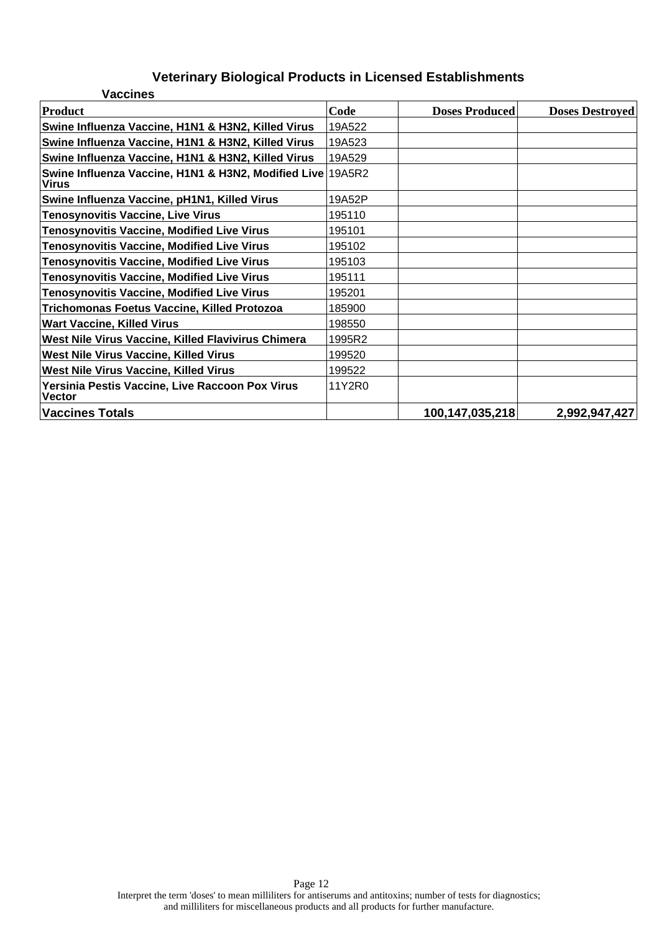| <b>Vaccines</b>                                                            |        |                       |                        |
|----------------------------------------------------------------------------|--------|-----------------------|------------------------|
| Product                                                                    | Code   | <b>Doses Produced</b> | <b>Doses Destroyed</b> |
| Swine Influenza Vaccine, H1N1 & H3N2, Killed Virus                         | 19A522 |                       |                        |
| Swine Influenza Vaccine, H1N1 & H3N2, Killed Virus                         | 19A523 |                       |                        |
| Swine Influenza Vaccine, H1N1 & H3N2, Killed Virus                         | 19A529 |                       |                        |
| Swine Influenza Vaccine, H1N1 & H3N2, Modified Live 19A5R2<br><b>Virus</b> |        |                       |                        |
| Swine Influenza Vaccine, pH1N1, Killed Virus                               | 19A52P |                       |                        |
| <b>Tenosynovitis Vaccine, Live Virus</b>                                   | 195110 |                       |                        |
| <b>Tenosynovitis Vaccine, Modified Live Virus</b>                          | 195101 |                       |                        |
| <b>Tenosynovitis Vaccine, Modified Live Virus</b>                          | 195102 |                       |                        |
| <b>Tenosynovitis Vaccine, Modified Live Virus</b>                          | 195103 |                       |                        |
| <b>Tenosynovitis Vaccine, Modified Live Virus</b>                          | 195111 |                       |                        |
| <b>Tenosynovitis Vaccine, Modified Live Virus</b>                          | 195201 |                       |                        |
| Trichomonas Foetus Vaccine, Killed Protozoa                                | 185900 |                       |                        |
| <b>Wart Vaccine, Killed Virus</b>                                          | 198550 |                       |                        |
| West Nile Virus Vaccine, Killed Flavivirus Chimera                         | 1995R2 |                       |                        |
| West Nile Virus Vaccine, Killed Virus                                      | 199520 |                       |                        |
| West Nile Virus Vaccine, Killed Virus                                      | 199522 |                       |                        |
| Yersinia Pestis Vaccine, Live Raccoon Pox Virus<br><b>Vector</b>           | 11Y2R0 |                       |                        |
| Vaccines Totals                                                            |        | 100,147,035,218       | 2,992,947,427          |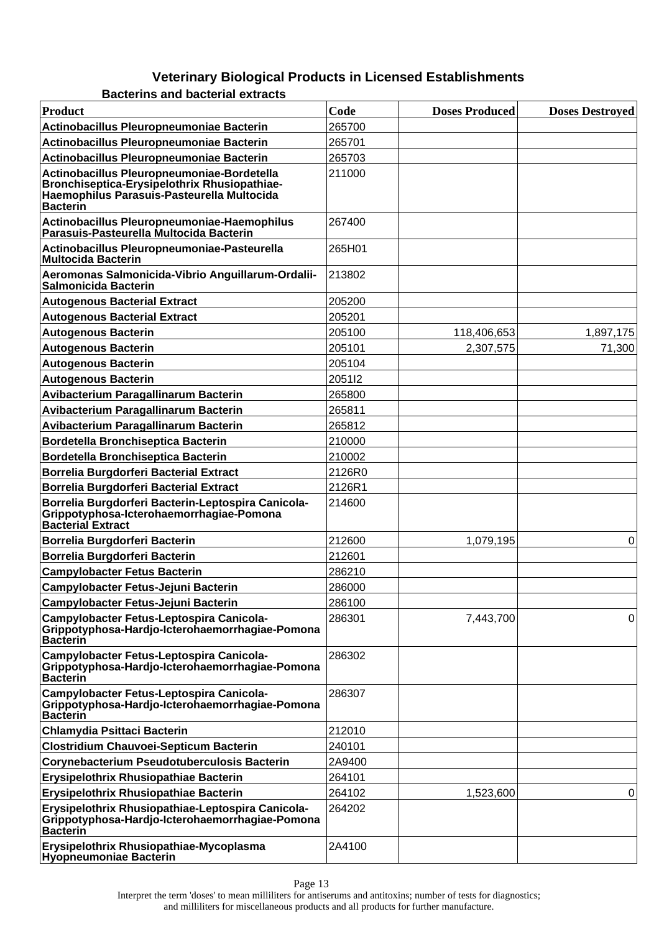**Bacterins and bacterial extracts**

| <b>Product</b>                                                                                                                                              | Code   | <b>Doses Produced</b> | <b>Doses Destroyed</b> |
|-------------------------------------------------------------------------------------------------------------------------------------------------------------|--------|-----------------------|------------------------|
| Actinobacillus Pleuropneumoniae Bacterin                                                                                                                    | 265700 |                       |                        |
| Actinobacillus Pleuropneumoniae Bacterin                                                                                                                    | 265701 |                       |                        |
| Actinobacillus Pleuropneumoniae Bacterin                                                                                                                    | 265703 |                       |                        |
| Actinobacillus Pleuropneumoniae-Bordetella<br>Bronchiseptica-Erysipelothrix Rhusiopathiae-<br>Haemophilus Parasuis-Pasteurella Multocida<br><b>Bacterin</b> | 211000 |                       |                        |
| Actinobacillus Pleuropneumoniae-Haemophilus<br>Parasuis-Pasteurella Multocida Bacterin                                                                      | 267400 |                       |                        |
| Actinobacillus Pleuropneumoniae-Pasteurella<br><b>Multocida Bacterin</b>                                                                                    | 265H01 |                       |                        |
| Aeromonas Salmonicida-Vibrio Anguillarum-Ordalii-<br><b>Salmonicida Bacterin</b>                                                                            | 213802 |                       |                        |
| <b>Autogenous Bacterial Extract</b>                                                                                                                         | 205200 |                       |                        |
| <b>Autogenous Bacterial Extract</b>                                                                                                                         | 205201 |                       |                        |
| <b>Autogenous Bacterin</b>                                                                                                                                  | 205100 | 118,406,653           | 1,897,175              |
| <b>Autogenous Bacterin</b>                                                                                                                                  | 205101 | 2,307,575             | 71,300                 |
| <b>Autogenous Bacterin</b>                                                                                                                                  | 205104 |                       |                        |
| <b>Autogenous Bacterin</b>                                                                                                                                  | 205112 |                       |                        |
| Avibacterium Paragallinarum Bacterin                                                                                                                        | 265800 |                       |                        |
| Avibacterium Paragallinarum Bacterin                                                                                                                        | 265811 |                       |                        |
| <b>Avibacterium Paragallinarum Bacterin</b>                                                                                                                 | 265812 |                       |                        |
| <b>Bordetella Bronchiseptica Bacterin</b>                                                                                                                   | 210000 |                       |                        |
| <b>Bordetella Bronchiseptica Bacterin</b>                                                                                                                   | 210002 |                       |                        |
| <b>Borrelia Burgdorferi Bacterial Extract</b>                                                                                                               | 2126R0 |                       |                        |
| <b>Borrelia Burgdorferi Bacterial Extract</b>                                                                                                               | 2126R1 |                       |                        |
| Borrelia Burgdorferi Bacterin-Leptospira Canicola-<br>Grippotyphosa-Icterohaemorrhagiae-Pomona<br><b>Bacterial Extract</b>                                  | 214600 |                       |                        |
| Borrelia Burgdorferi Bacterin                                                                                                                               | 212600 | 1,079,195             | 0                      |
| Borrelia Burgdorferi Bacterin                                                                                                                               | 212601 |                       |                        |
| <b>Campylobacter Fetus Bacterin</b>                                                                                                                         | 286210 |                       |                        |
| Campylobacter Fetus-Jejuni Bacterin                                                                                                                         | 286000 |                       |                        |
| <b>Campylobacter Fetus-Jejuni Bacterin</b>                                                                                                                  | 286100 |                       |                        |
| Campylobacter Fetus-Leptospira Canicola-<br>Grippotyphosa-Hardjo-Icterohaemorrhagiae-Pomona<br><b>Bacterin</b>                                              | 286301 | 7,443,700             | 0                      |
| Campylobacter Fetus-Leptospira Canicola-<br>Grippotyphosa-Hardjo-Icterohaemorrhagiae-Pomona<br><b>Bacterin</b>                                              | 286302 |                       |                        |
| Campylobacter Fetus-Leptospira Canicola-<br>Grippotyphosa-Hardjo-Icterohaemorrhagiae-Pomona<br><b>Bacterin</b>                                              | 286307 |                       |                        |
| Chlamydia Psittaci Bacterin                                                                                                                                 | 212010 |                       |                        |
| <b>Clostridium Chauvoei-Septicum Bacterin</b>                                                                                                               | 240101 |                       |                        |
| <b>Corynebacterium Pseudotuberculosis Bacterin</b>                                                                                                          | 2A9400 |                       |                        |
| Erysipelothrix Rhusiopathiae Bacterin                                                                                                                       | 264101 |                       |                        |
| Erysipelothrix Rhusiopathiae Bacterin                                                                                                                       | 264102 | 1,523,600             | 0                      |
| Erysipelothrix Rhusiopathiae-Leptospira Canicola-<br>Grippotyphosa-Hardjo-Icterohaemorrhagiae-Pomona<br><b>Bacterin</b>                                     | 264202 |                       |                        |
| Erysipelothrix Rhusiopathiae-Mycoplasma<br><b>Hyopneumoniae Bacterin</b>                                                                                    | 2A4100 |                       |                        |

Page 13 Interpret the term 'doses' to mean milliliters for antiserums and antitoxins; number of tests for diagnostics; and milliliters for miscellaneous products and all products for further manufacture.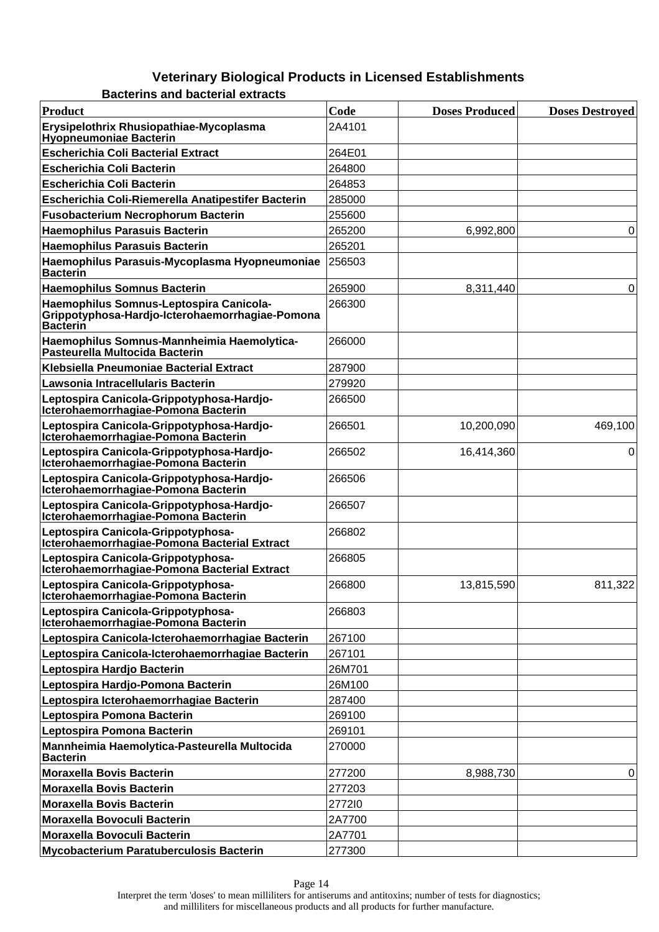**Bacterins and bacterial extracts**

| Product                                                                                                       | Code   | <b>Doses Produced</b> | <b>Doses Destroyed</b> |
|---------------------------------------------------------------------------------------------------------------|--------|-----------------------|------------------------|
| Erysipelothrix Rhusiopathiae-Mycoplasma<br>Hyopneumoniae Bacterin                                             | 2A4101 |                       |                        |
| <b>Escherichia Coli Bacterial Extract</b>                                                                     | 264E01 |                       |                        |
| <b>Escherichia Coli Bacterin</b>                                                                              | 264800 |                       |                        |
| <b>Escherichia Coli Bacterin</b>                                                                              | 264853 |                       |                        |
| Escherichia Coli-Riemerella Anatipestifer Bacterin                                                            | 285000 |                       |                        |
| <b>Fusobacterium Necrophorum Bacterin</b>                                                                     | 255600 |                       |                        |
| <b>Haemophilus Parasuis Bacterin</b>                                                                          | 265200 | 6,992,800             | 0                      |
| <b>Haemophilus Parasuis Bacterin</b>                                                                          | 265201 |                       |                        |
| Haemophilus Parasuis-Mycoplasma Hyopneumoniae<br><b>Bacterin</b>                                              | 256503 |                       |                        |
| <b>Haemophilus Somnus Bacterin</b>                                                                            | 265900 | 8,311,440             | 0                      |
| Haemophilus Somnus-Leptospira Canicola-<br>Grippotyphosa-Hardjo-Icterohaemorrhagiae-Pomona<br><b>Bacterin</b> | 266300 |                       |                        |
| Haemophilus Somnus-Mannheimia Haemolytica-<br>Pasteurella Multocida Bacterin                                  | 266000 |                       |                        |
| Klebsiella Pneumoniae Bacterial Extract                                                                       | 287900 |                       |                        |
| Lawsonia Intracellularis Bacterin                                                                             | 279920 |                       |                        |
| Leptospira Canicola-Grippotyphosa-Hardjo-<br>Icterohaemorrhagiae-Pomona Bacterin                              | 266500 |                       |                        |
| Leptospira Canicola-Grippotyphosa-Hardjo-<br>Icterohaemorrhagiae-Pomona Bacterin                              | 266501 | 10,200,090            | 469,100                |
| Leptospira Canicola-Grippotyphosa-Hardjo-<br>Icterohaemorrhagiae-Pomona Bacterin                              | 266502 | 16,414,360            | 0                      |
| Leptospira Canicola-Grippotyphosa-Hardjo-<br>Icterohaemorrhagiae-Pomona Bacterin                              | 266506 |                       |                        |
| Leptospira Canicola-Grippotyphosa-Hardjo-<br>Icterohaemorrhagiae-Pomona Bacterin                              | 266507 |                       |                        |
| Leptospira Canicola-Grippotyphosa-<br>Icterohaemorrhagiae-Pomona Bacterial Extract                            | 266802 |                       |                        |
| Leptospira Canicola-Grippotyphosa-<br>Icterohaemorrhagiae-Pomona Bacterial Extract                            | 266805 |                       |                        |
| Leptospira Canicola-Grippotyphosa-<br>Icterohaemorrhagiae-Pomona Bacterin                                     | 266800 | 13,815,590            | 811,322                |
| Leptospira Canicola-Grippotyphosa-<br>Icterohaemorrhagiae-Pomona Bacterin                                     | 266803 |                       |                        |
| Leptospira Canicola-Icterohaemorrhagiae Bacterin                                                              | 267100 |                       |                        |
| Leptospira Canicola-Icterohaemorrhagiae Bacterin                                                              | 267101 |                       |                        |
| Leptospira Hardjo Bacterin                                                                                    | 26M701 |                       |                        |
| Leptospira Hardjo-Pomona Bacterin                                                                             | 26M100 |                       |                        |
| Leptospira Icterohaemorrhagiae Bacterin                                                                       | 287400 |                       |                        |
| Leptospira Pomona Bacterin                                                                                    | 269100 |                       |                        |
| Leptospira Pomona Bacterin                                                                                    | 269101 |                       |                        |
| Mannheimia Haemolytica-Pasteurella Multocida<br><b>Bacterin</b>                                               | 270000 |                       |                        |
| <b>Moraxella Bovis Bacterin</b>                                                                               | 277200 | 8,988,730             | 0                      |
| <b>Moraxella Bovis Bacterin</b>                                                                               | 277203 |                       |                        |
| <b>Moraxella Bovis Bacterin</b>                                                                               | 277210 |                       |                        |
| <b>Moraxella Bovoculi Bacterin</b>                                                                            | 2A7700 |                       |                        |
| Moraxella Bovoculi Bacterin                                                                                   | 2A7701 |                       |                        |
| <b>Mycobacterium Paratuberculosis Bacterin</b>                                                                | 277300 |                       |                        |

Interpret the term 'doses' to mean milliliters for antiserums and antitoxins; number of tests for diagnostics; and milliliters for miscellaneous products and all products for further manufacture.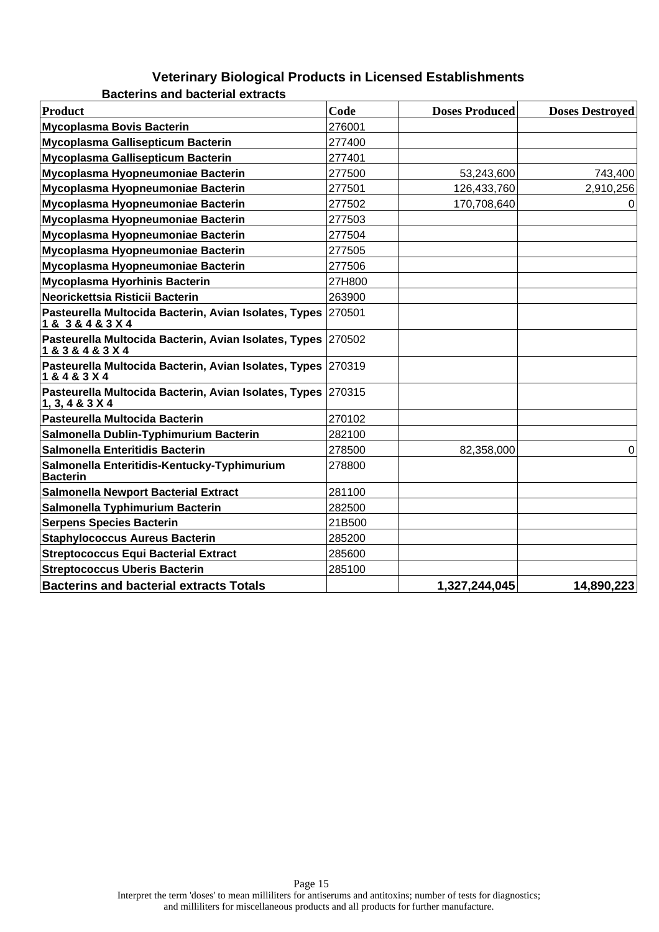**Bacterins and bacterial extracts**

| <b>Product</b>                                                                      | Code   | <b>Doses Produced</b> | <b>Doses Destroved</b> |
|-------------------------------------------------------------------------------------|--------|-----------------------|------------------------|
| <b>Mycoplasma Bovis Bacterin</b>                                                    | 276001 |                       |                        |
| Mycoplasma Gallisepticum Bacterin                                                   | 277400 |                       |                        |
| Mycoplasma Gallisepticum Bacterin                                                   | 277401 |                       |                        |
| Mycoplasma Hyopneumoniae Bacterin                                                   | 277500 | 53,243,600            | 743,400                |
| Mycoplasma Hyopneumoniae Bacterin                                                   | 277501 | 126,433,760           | 2,910,256              |
| Mycoplasma Hyopneumoniae Bacterin                                                   | 277502 | 170,708,640           | 0                      |
| Mycoplasma Hyopneumoniae Bacterin                                                   | 277503 |                       |                        |
| Mycoplasma Hyopneumoniae Bacterin                                                   | 277504 |                       |                        |
| Mycoplasma Hyopneumoniae Bacterin                                                   | 277505 |                       |                        |
| Mycoplasma Hyopneumoniae Bacterin                                                   | 277506 |                       |                        |
| <b>Mycoplasma Hyorhinis Bacterin</b>                                                | 27H800 |                       |                        |
| Neorickettsia Risticii Bacterin                                                     | 263900 |                       |                        |
| Pasteurella Multocida Bacterin, Avian Isolates, Types<br>1 & 3 & 4 & 3 X 4          | 270501 |                       |                        |
| Pasteurella Multocida Bacterin, Avian Isolates, Types 270502<br>1 & 3 & 4 & 3 X 4   |        |                       |                        |
| Pasteurella Multocida Bacterin, Avian Isolates, Types 270319<br>1 & 4 & 3 X 4       |        |                       |                        |
| Pasteurella Multocida Bacterin, Avian Isolates, Types 270315<br>1, 3, 4 & 3 & 3 & 4 |        |                       |                        |
| Pasteurella Multocida Bacterin                                                      | 270102 |                       |                        |
| Salmonella Dublin-Typhimurium Bacterin                                              | 282100 |                       |                        |
| Salmonella Enteritidis Bacterin                                                     | 278500 | 82,358,000            | 0                      |
| Salmonella Enteritidis-Kentucky-Typhimurium<br><b>Bacterin</b>                      | 278800 |                       |                        |
| <b>Salmonella Newport Bacterial Extract</b>                                         | 281100 |                       |                        |
| Salmonella Typhimurium Bacterin                                                     | 282500 |                       |                        |
| <b>Serpens Species Bacterin</b>                                                     | 21B500 |                       |                        |
| <b>Staphylococcus Aureus Bacterin</b>                                               | 285200 |                       |                        |
| <b>Streptococcus Equi Bacterial Extract</b>                                         | 285600 |                       |                        |
| <b>Streptococcus Uberis Bacterin</b>                                                | 285100 |                       |                        |
| <b>Bacterins and bacterial extracts Totals</b>                                      |        | 1,327,244,045         | 14,890,223             |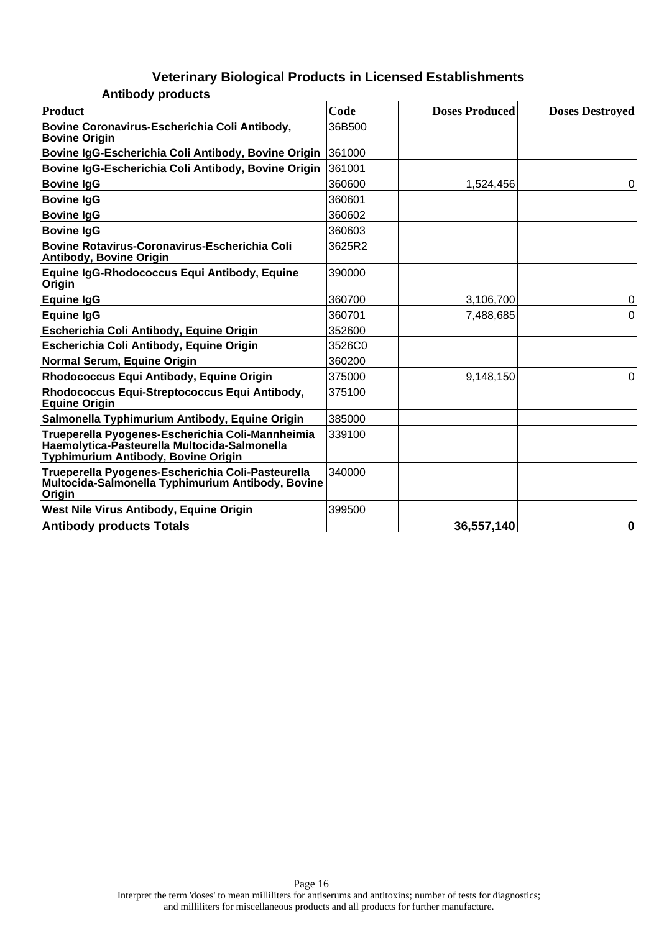| <b>Antibody products</b>                                                                                                                |        |                       |                        |
|-----------------------------------------------------------------------------------------------------------------------------------------|--------|-----------------------|------------------------|
| <b>Product</b>                                                                                                                          | Code   | <b>Doses Produced</b> | <b>Doses Destroyed</b> |
| Bovine Coronavirus-Escherichia Coli Antibody,<br><b>Bovine Origin</b>                                                                   | 36B500 |                       |                        |
| Bovine IgG-Escherichia Coli Antibody, Bovine Origin                                                                                     | 361000 |                       |                        |
| Bovine IgG-Escherichia Coli Antibody, Bovine Origin                                                                                     | 361001 |                       |                        |
| <b>Bovine IgG</b>                                                                                                                       | 360600 | 1,524,456             | 0                      |
| <b>Bovine IgG</b>                                                                                                                       | 360601 |                       |                        |
| <b>Bovine IgG</b>                                                                                                                       | 360602 |                       |                        |
| <b>Bovine IgG</b>                                                                                                                       | 360603 |                       |                        |
| <b>Bovine Rotavirus-Coronavirus-Escherichia Coli</b><br><b>Antibody, Bovine Origin</b>                                                  | 3625R2 |                       |                        |
| Equine IgG-Rhodococcus Equi Antibody, Equine<br>Origin                                                                                  | 390000 |                       |                        |
| <b>Equine IgG</b>                                                                                                                       | 360700 | 3,106,700             | 0                      |
| <b>Equine IgG</b>                                                                                                                       | 360701 | 7,488,685             | 0                      |
| Escherichia Coli Antibody, Equine Origin                                                                                                | 352600 |                       |                        |
| Escherichia Coli Antibody, Equine Origin                                                                                                | 3526C0 |                       |                        |
| Normal Serum, Equine Origin                                                                                                             | 360200 |                       |                        |
| Rhodococcus Equi Antibody, Equine Origin                                                                                                | 375000 | 9,148,150             | 0                      |
| Rhodococcus Equi-Streptococcus Equi Antibody,<br><b>Equine Origin</b>                                                                   | 375100 |                       |                        |
| Salmonella Typhimurium Antibody, Equine Origin                                                                                          | 385000 |                       |                        |
| Trueperella Pyogenes-Escherichia Coli-Mannheimia<br>Haemolytica-Pasteurella Multocida-Salmonella<br>Typhimurium Antibody, Bovine Origin | 339100 |                       |                        |
| Trueperella Pyogenes-Escherichia Coli-Pasteurella<br>Multocida-Salmonella Typhimurium Antibody, Bovine<br>Origin                        | 340000 |                       |                        |
| West Nile Virus Antibody, Equine Origin                                                                                                 | 399500 |                       |                        |
| <b>Antibody products Totals</b>                                                                                                         |        | 36,557,140            | $\mathbf 0$            |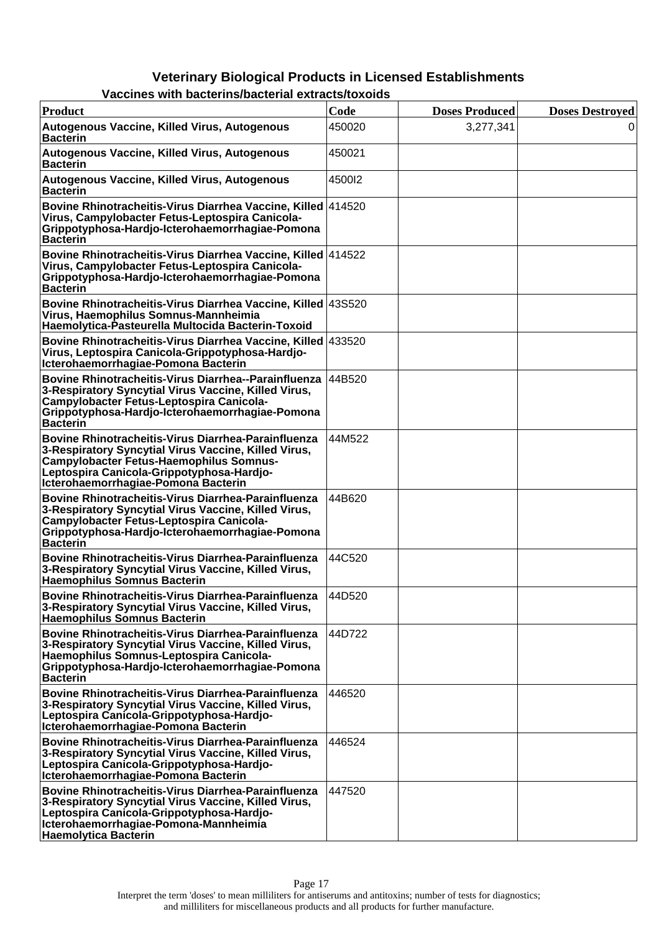| Product                                                                                                                                                                                                                                           | Code   | <b>Doses Produced</b> | <b>Doses Destroved</b> |
|---------------------------------------------------------------------------------------------------------------------------------------------------------------------------------------------------------------------------------------------------|--------|-----------------------|------------------------|
| Autogenous Vaccine, Killed Virus, Autogenous<br><b>Bacterin</b>                                                                                                                                                                                   | 450020 | 3,277,341             | $\Omega$               |
| Autogenous Vaccine, Killed Virus, Autogenous<br><b>Bacterin</b>                                                                                                                                                                                   | 450021 |                       |                        |
| Autogenous Vaccine, Killed Virus, Autogenous<br>∣Bacterin                                                                                                                                                                                         | 450012 |                       |                        |
| Bovine Rhinotracheitis-Virus Diarrhea Vaccine, Killed 414520<br>Virus, Campylobacter Fetus-Leptospira Canicola-<br>Grippotyphosa-Hardjo-Icterohaemorrhagiae-Pomona<br><b>Bacterin</b>                                                             |        |                       |                        |
| Bovine Rhinotracheitis-Virus Diarrhea Vaccine, Killed 414522<br>Virus, Campylobacter Fetus-Leptospira Canicola-<br>Grippotyphosa-Hardjo-Icterohaemorrhagiae-Pomona<br><b>Bacterin</b>                                                             |        |                       |                        |
| Bovine Rhinotracheitis-Virus Diarrhea Vaccine, Killed   43S520<br>Virus, Haemophilus Somnus-Mannheimia<br>Haemolytica-Pasteurella Multocida Bacterin-Toxoid                                                                                       |        |                       |                        |
| Bovine Rhinotracheitis-Virus Diarrhea Vaccine, Killed 433520<br>Virus, Leptospira Canicola-Grippotyphosa-Hardjo-<br>Icterohaemorrhagiae-Pomona Bacterin                                                                                           |        |                       |                        |
| Bovine Rhinotracheitis-Virus Diarrhea--Parainfluenza<br>3-Respiratory Syncytial Virus Vaccine, Killed Virus,<br><b>Campylobacter Fetus-Leptospira Canicola-</b><br>Grippotyphosa-Hardjo-Icterohaemorrhagiae-Pomona<br><b>Bacterin</b>             | 44B520 |                       |                        |
| Bovine Rhinotracheitis-Virus Diarrhea-Parainfluenza<br>3-Respiratory Syncytial Virus Vaccine, Killed Virus,<br><b>Campylobacter Fetus-Haemophilus Somnus-</b><br>Leptospira Canicola-Grippotyphosa-Hardjo-<br>Icterohaemorrhagiae-Pomona Bacterin | 44M522 |                       |                        |
| Bovine Rhinotracheitis-Virus Diarrhea-Parainfluenza<br>3-Respiratory Syncytial Virus Vaccine, Killed Virus,<br><b>Campylobacter Fetus-Leptospira Canicola-</b><br>Grippotyphosa-Hardjo-Icterohaemorrhagiae-Pomona<br>Bacterin                     | 44B620 |                       |                        |
| Bovine Rhinotracheitis-Virus Diarrhea-Parainfluenza<br>3-Respiratory Syncytial Virus Vaccine, Killed Virus,<br>Haemophilus Somnus Bacterin                                                                                                        | 44C520 |                       |                        |
| Bovine Rhinotracheitis-Virus Diarrhea-Parainfluenza<br>3-Respiratory Syncytial Virus Vaccine, Killed Virus,<br><b>Haemophilus Somnus Bacterin</b>                                                                                                 | 44D520 |                       |                        |
| Bovine Rhinotracheitis-Virus Diarrhea-Parainfluenza<br>3-Respiratory Syncytial Virus Vaccine, Killed Virus,<br>Haemophilus Somnus-Leptospira Canicola-<br>Grippotyphosa-Hardjo-Icterohaemorrhagiae-Pomona<br>∣Bacterin                            | 44D722 |                       |                        |
| Bovine Rhinotracheitis-Virus Diarrhea-Parainfluenza<br>3-Respiratory Syncytial Virus Vaccine, Killed Virus,<br>Leptospira Canicola-Grippotyphosa-Hardjo-<br>Icterohaemorrhagiae-Pomona Bacterin                                                   | 446520 |                       |                        |
| Bovine Rhinotracheitis-Virus Diarrhea-Parainfluenza<br>3-Respiratory Syncytial Virus Vaccine, Killed Virus,<br>Leptospira Canicola-Grippotyphosa-Hardjo-<br>Icterohaemorrhagiae-Pomona Bacterin                                                   | 446524 |                       |                        |
| Bovine Rhinotracheitis-Virus Diarrhea-Parainfluenza<br>3-Respiratory Syncytial Virus Vaccine, Killed Virus,<br>Leptospira Canicola-Grippotyphosa-Hardjo-<br>Icterohaemorrhagiae-Pomona-Mannheimia<br><b>Haemolytica Bacterin</b>                  | 447520 |                       |                        |

#### **Vaccines with bacterins/bacterial extracts/toxoids**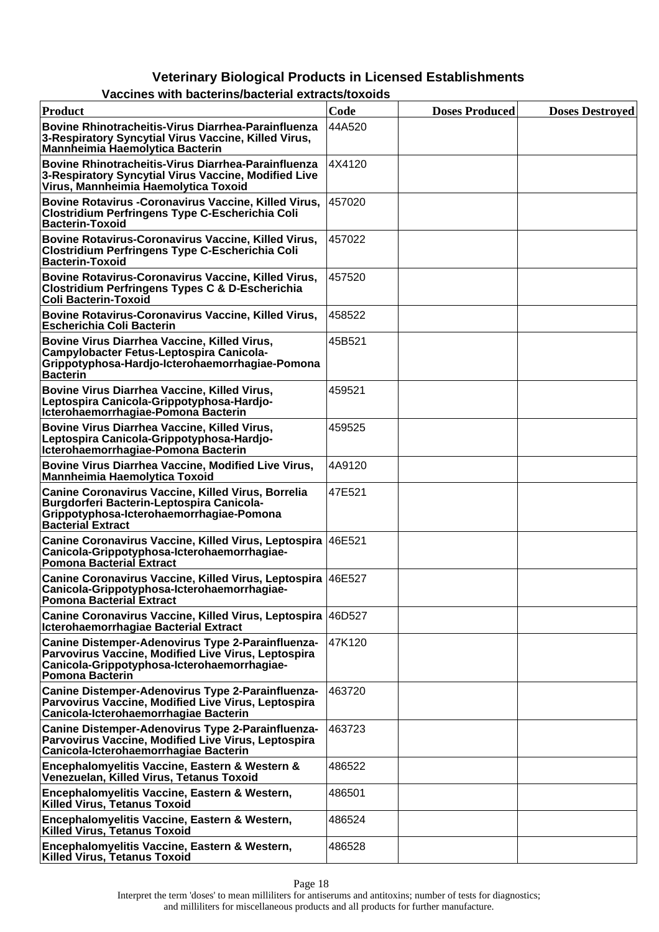| Product                                                                                                                                                                           | Code   | <b>Doses Produced</b> | <b>Doses Destroyed</b> |
|-----------------------------------------------------------------------------------------------------------------------------------------------------------------------------------|--------|-----------------------|------------------------|
| Bovine Rhinotracheitis-Virus Diarrhea-Parainfluenza<br>3-Respiratory Syncytial Virus Vaccine, Killed Virus,<br><b>Mannheimia Haemolytica Bacterin</b>                             | 44A520 |                       |                        |
| Bovine Rhinotracheitis-Virus Diarrhea-Parainfluenza<br>3-Respiratory Syncytial Virus Vaccine, Modified Live<br>Virus, Mannheimia Haemolytica Toxoid                               | 4X4120 |                       |                        |
| <b>Bovine Rotavirus - Coronavirus Vaccine, Killed Virus,</b><br><b>Clostridium Perfringens Type C-Escherichia Coli</b><br><b>Bacterin-Toxoid</b>                                  | 457020 |                       |                        |
| Bovine Rotavirus-Coronavirus Vaccine, Killed Virus,<br><b>Clostridium Perfringens Type C-Escherichia Coli</b><br><b>Bacterin-Toxoid</b>                                           | 457022 |                       |                        |
| Bovine Rotavirus-Coronavirus Vaccine, Killed Virus,<br><b>Clostridium Perfringens Types C &amp; D-Escherichia</b><br><b>Coli Bacterin-Toxoid</b>                                  | 457520 |                       |                        |
| Bovine Rotavirus-Coronavirus Vaccine, Killed Virus,<br><b>Escherichia Coli Bacterin</b>                                                                                           | 458522 |                       |                        |
| Bovine Virus Diarrhea Vaccine, Killed Virus,<br>Campylobacter Fetus-Leptospira Canicola-<br>Grippotyphosa-Hardjo-Icterohaemorrhagiae-Pomona<br><b>Bacterin</b>                    | 45B521 |                       |                        |
| Bovine Virus Diarrhea Vaccine, Killed Virus,<br>Leptospira Canicola-Grippotyphosa-Hardjo-<br>Icterohaemorrhagiae-Pomona Bacterin                                                  | 459521 |                       |                        |
| Bovine Virus Diarrhea Vaccine, Killed Virus,<br>Leptospira Canicola-Grippotyphosa-Hardjo-<br>Icterohaemorrhagiae-Pomona Bacterin                                                  | 459525 |                       |                        |
| Bovine Virus Diarrhea Vaccine, Modified Live Virus,<br><b>Mannheimia Haemolytica Toxoid</b>                                                                                       | 4A9120 |                       |                        |
| Canine Coronavirus Vaccine, Killed Virus, Borrelia<br>Burgdorferi Bacterin-Leptospira Canicola-<br>Grippotyphosa-Icterohaemorrhagiae-Pomona<br><b>Bacterial Extract</b>           | 47E521 |                       |                        |
| Canine Coronavirus Vaccine, Killed Virus, Leptospira 46E521<br>Canicola-Grippotyphosa-Icterohaemorrhagiae-<br><b>Pomona Bacterial Extract</b>                                     |        |                       |                        |
| Canine Coronavirus Vaccine, Killed Virus, Leptospira 46E527<br>Canicola-Grippotyphosa-Icterohaemorrhagiae-<br><b>Pomona Bacterial Extract</b>                                     |        |                       |                        |
| Canine Coronavirus Vaccine, Killed Virus, Leptospira   46D527<br><b>Icterohaemorrhagiae Bacterial Extract</b>                                                                     |        |                       |                        |
| Canine Distemper-Adenovirus Type 2-Parainfluenza-<br>Parvovirus Vaccine, Modified Live Virus, Leptospira<br>Canicola-Grippotyphosa-Icterohaemorrhagiae-<br><b>Pomona Bacterin</b> | 47K120 |                       |                        |
| Canine Distemper-Adenovirus Type 2-Parainfluenza-<br>Parvovirus Vaccine, Modified Live Virus, Leptospira<br>Canicola-Icterohaemorrhagiae Bacterin                                 | 463720 |                       |                        |
| Canine Distemper-Adenovirus Type 2-Parainfluenza-<br>Parvovirus Vaccine, Modified Live Virus, Leptospira<br>Canicola-Icterohaemorrhagiae Bacterin                                 | 463723 |                       |                        |
| Encephalomyelitis Vaccine, Eastern & Western &<br>Venezuelan, Killed Virus, Tetanus Toxoid                                                                                        | 486522 |                       |                        |
| Encephalomyelitis Vaccine, Eastern & Western,<br><b>Killed Virus, Tetanus Toxoid</b>                                                                                              | 486501 |                       |                        |
| Encephalomyelitis Vaccine, Eastern & Western,<br><b>Killed Virus, Tetanus Toxoid</b>                                                                                              | 486524 |                       |                        |
| Encephalomyelitis Vaccine, Eastern & Western,<br>Killed Virus, Tetanus Toxoid                                                                                                     | 486528 |                       |                        |

#### **Vaccines with bacterins/bacterial extracts/toxoids**

Interpret the term 'doses' to mean milliliters for antiserums and antitoxins; number of tests for diagnostics; and milliliters for miscellaneous products and all products for further manufacture.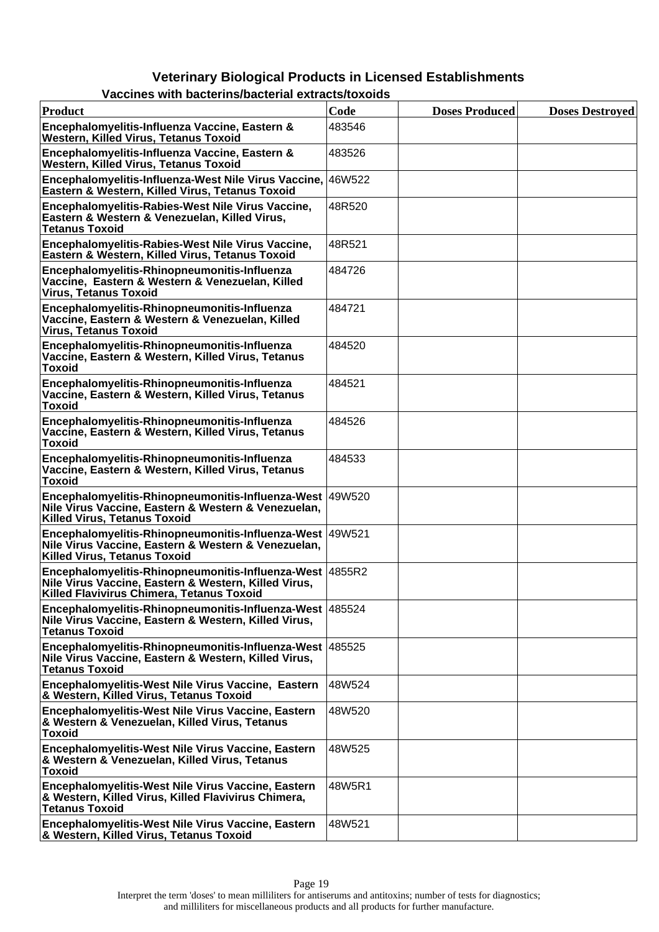|--|

| <b>Product</b>                                                                                                                                                | Code   | <b>Doses Produced</b> | <b>Doses Destroyed</b> |
|---------------------------------------------------------------------------------------------------------------------------------------------------------------|--------|-----------------------|------------------------|
| Encephalomyelitis-Influenza Vaccine, Eastern &<br><b>Western, Killed Virus, Tetanus Toxoid</b>                                                                | 483546 |                       |                        |
| Encephalomyelitis-Influenza Vaccine, Eastern &<br><b>Western, Killed Virus, Tetanus Toxoid</b>                                                                | 483526 |                       |                        |
| Encephalomyelitis-Influenza-West Nile Virus Vaccine,<br>Eastern & Western, Killed Virus, Tetanus Toxoid                                                       | 46W522 |                       |                        |
| Encephalomyelitis-Rabies-West Nile Virus Vaccine,<br>Eastern & Western & Venezuelan, Killed Virus,<br><b>Tetanus Toxoid</b>                                   | 48R520 |                       |                        |
| Encephalomyelitis-Rabies-West Nile Virus Vaccine,<br>Eastern & Western, Killed Virus, Tetanus Toxoid                                                          | 48R521 |                       |                        |
| Encephalomyelitis-Rhinopneumonitis-Influenza<br>Vaccine, Eastern & Western & Venezuelan, Killed<br><b>Virus, Tetanus Toxoid</b>                               | 484726 |                       |                        |
| Encephalomyelitis-Rhinopneumonitis-Influenza<br>Vaccine, Eastern & Western & Venezuelan, Killed<br><b>Virus, Tetanus Toxoid</b>                               | 484721 |                       |                        |
| Encephalomyelitis-Rhinopneumonitis-Influenza<br>Vaccine, Eastern & Western, Killed Virus, Tetanus<br><b>Toxoid</b>                                            | 484520 |                       |                        |
| Encephalomyelitis-Rhinopneumonitis-Influenza<br>Vaccine, Eastern & Western, Killed Virus, Tetanus<br><b>Toxoid</b>                                            | 484521 |                       |                        |
| Encephalomyelitis-Rhinopneumonitis-Influenza<br>Vaccine, Eastern & Western, Killed Virus, Tetanus<br><b>Toxoid</b>                                            | 484526 |                       |                        |
| Encephalomyelitis-Rhinopneumonitis-Influenza<br>Vaccine, Eastern & Western, Killed Virus, Tetanus<br><b>Toxoid</b>                                            | 484533 |                       |                        |
| Encephalomyelitis-Rhinopneumonitis-Influenza-West 49W520<br>Nile Virus Vaccine, Eastern & Western & Venezuelan,<br><b>Killed Virus, Tetanus Toxoid</b>        |        |                       |                        |
| Encephalomyelitis-Rhinopneumonitis-Influenza-West 49W521<br>Nile Virus Vaccine, Eastern & Western & Venezuelan,<br><b>Killed Virus, Tetanus Toxoid</b>        |        |                       |                        |
| Encephalomyelitis-Rhinopneumonitis-Influenza-West 4855R2<br>Nile Virus Vaccine, Eastern & Western, Killed Virus,<br>Killed Flavivirus Chimera, Tetanus Toxoid |        |                       |                        |
| Encephalomyelitis-Rhinopneumonitis-Influenza-West   485524<br>Nile Virus Vaccine, Eastern & Western, Killed Virus,<br><b>Tetanus Toxoid</b>                   |        |                       |                        |
| Encephalomyelitis-Rhinopneumonitis-Influenza-West 485525<br>Nile Virus Vaccine, Eastern & Western, Killed Virus,<br><b>Tetanus Toxoid</b>                     |        |                       |                        |
| Encephalomyelitis-West Nile Virus Vaccine, Eastern<br>& Western, Killed Virus, Tetanus Toxoid                                                                 | 48W524 |                       |                        |
| Encephalomyelitis-West Nile Virus Vaccine, Eastern<br>& Western & Venezuelan, Killed Virus, Tetanus<br><b>Toxoid</b>                                          | 48W520 |                       |                        |
| Encephalomyelitis-West Nile Virus Vaccine, Eastern<br>& Western & Venezuelan, Killed Virus, Tetanus<br><b>Toxoid</b>                                          | 48W525 |                       |                        |
| Encephalomyelitis-West Nile Virus Vaccine, Eastern<br>& Western, Killed Virus, Killed Flavivirus Chimera,<br><b>Tetanus Toxoid</b>                            | 48W5R1 |                       |                        |
| Encephalomyelitis-West Nile Virus Vaccine, Eastern<br>& Western, Killed Virus, Tetanus Toxoid                                                                 | 48W521 |                       |                        |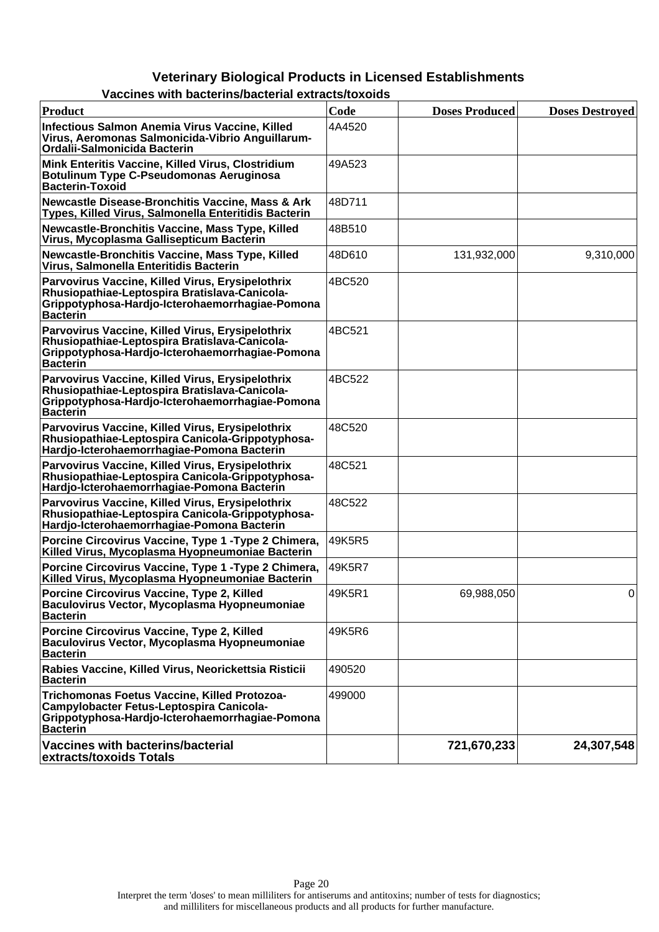| Product                                                                                                                                                                 | Code   | <b>Doses Produced</b> | <b>Doses Destroyed</b> |
|-------------------------------------------------------------------------------------------------------------------------------------------------------------------------|--------|-----------------------|------------------------|
| Infectious Salmon Anemia Virus Vaccine, Killed<br>Virus, Aeromonas Salmonicida-Vibrio Anguillarum-<br>Ordalii-Salmonicida Bacterin                                      | 4A4520 |                       |                        |
| Mink Enteritis Vaccine, Killed Virus, Clostridium<br><b>Botulinum Type C-Pseudomonas Aeruginosa</b><br><b>Bacterin-Toxoid</b>                                           | 49A523 |                       |                        |
| <b>Newcastle Disease-Bronchitis Vaccine, Mass &amp; Ark</b><br>Types, Killed Virus, Salmonella Enteritidis Bacterin                                                     | 48D711 |                       |                        |
| Newcastle-Bronchitis Vaccine, Mass Type, Killed<br>Virus, Mycoplasma Gallisepticum Bacterin                                                                             | 48B510 |                       |                        |
| Newcastle-Bronchitis Vaccine, Mass Type, Killed<br>Virus, Salmonella Enteritidis Bacterin                                                                               | 48D610 | 131,932,000           | 9,310,000              |
| Parvovirus Vaccine, Killed Virus, Erysipelothrix<br>Rhusiopathiae-Leptospira Bratislava-Canicola-<br>Grippotyphosa-Hardjo-Icterohaemorrhagiae-Pomona<br><b>Bacterin</b> | 4BC520 |                       |                        |
| Parvovirus Vaccine, Killed Virus, Erysipelothrix<br>Rhusiopathiae-Leptospira Bratislava-Canicola-<br>Grippotyphosa-Hardjo-Icterohaemorrhagiae-Pomona<br><b>Bacterin</b> | 4BC521 |                       |                        |
| Parvovirus Vaccine, Killed Virus, Erysipelothrix<br>Rhusiopathiae-Leptospira Bratislava-Canicola-<br>Grippotyphosa-Hardjo-Icterohaemorrhagiae-Pomona<br><b>Bacterin</b> | 4BC522 |                       |                        |
| Parvovirus Vaccine, Killed Virus, Erysipelothrix<br>Rhusiopathiae-Leptospira Canicola-Grippotyphosa-<br>Hardjo-Icterohaemorrhagiae-Pomona Bacterin                      | 48C520 |                       |                        |
| Parvovirus Vaccine, Killed Virus, Erysipelothrix<br>Rhusiopathiae-Leptospira Canicola-Grippotyphosa-<br>Hardjo-Icterohaemorrhagiae-Pomona Bacterin                      | 48C521 |                       |                        |
| Parvovirus Vaccine, Killed Virus, Erysipelothrix<br>Rhusiopathiae-Leptospira Canicola-Grippotyphosa-<br>Hardjo-Icterohaemorrhagiae-Pomona Bacterin                      | 48C522 |                       |                        |
| Porcine Circovirus Vaccine, Type 1 - Type 2 Chimera,<br>Killed Virus, Mycoplasma Hyopneumoniae Bacterin                                                                 | 49K5R5 |                       |                        |
| Porcine Circovirus Vaccine, Type 1 - Type 2 Chimera,<br>Killed Virus, Mycoplasma Hyopneumoniae Bacterin                                                                 | 49K5R7 |                       |                        |
| Porcine Circovirus Vaccine, Type 2, Killed<br>Baculovirus Vector, Mycoplasma Hyopneumoniae<br><b>Bacterin</b>                                                           | 49K5R1 | 69,988,050            | 0                      |
| Porcine Circovirus Vaccine, Type 2, Killed<br>Baculovirus Vector, Mycoplasma Hyopneumoniae<br><b>Bacterin</b>                                                           | 49K5R6 |                       |                        |
| Rabies Vaccine, Killed Virus, Neorickettsia Risticii<br><b>Bacterin</b>                                                                                                 | 490520 |                       |                        |
| Trichomonas Foetus Vaccine, Killed Protozoa-<br>Campylobacter Fetus-Leptospira Canicola-<br>Grippotyphosa-Hardjo-Icterohaemorrhagiae-Pomona<br><b>Bacterin</b>          | 499000 |                       |                        |
| Vaccines with bacterins/bacterial<br>extracts/toxoids Totals                                                                                                            |        | 721,670,233           | 24,307,548             |

#### **Vaccines with bacterins/bacterial extracts/toxoids**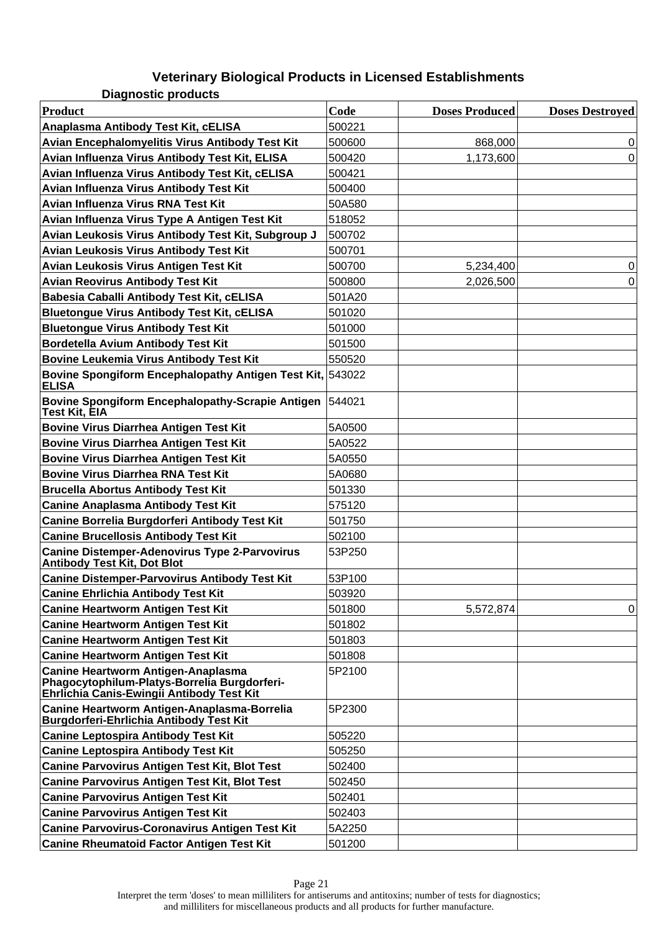**Diagnostic products**

| <b>Product</b>                                                                                                                  | Code   | <b>Doses Produced</b> | <b>Doses Destroyed</b> |
|---------------------------------------------------------------------------------------------------------------------------------|--------|-----------------------|------------------------|
| Anaplasma Antibody Test Kit, cELISA                                                                                             | 500221 |                       |                        |
| Avian Encephalomyelitis Virus Antibody Test Kit                                                                                 | 500600 | 868,000               | 0                      |
| Avian Influenza Virus Antibody Test Kit, ELISA                                                                                  | 500420 | 1,173,600             | 0                      |
| Avian Influenza Virus Antibody Test Kit, cELISA                                                                                 | 500421 |                       |                        |
| Avian Influenza Virus Antibody Test Kit                                                                                         | 500400 |                       |                        |
| Avian Influenza Virus RNA Test Kit                                                                                              | 50A580 |                       |                        |
| Avian Influenza Virus Type A Antigen Test Kit                                                                                   | 518052 |                       |                        |
| Avian Leukosis Virus Antibody Test Kit, Subgroup J                                                                              | 500702 |                       |                        |
| <b>Avian Leukosis Virus Antibody Test Kit</b>                                                                                   | 500701 |                       |                        |
| Avian Leukosis Virus Antigen Test Kit                                                                                           | 500700 | 5,234,400             | 0                      |
| <b>Avian Reovirus Antibody Test Kit</b>                                                                                         | 500800 | 2,026,500             | 0                      |
| Babesia Caballi Antibody Test Kit, cELISA                                                                                       | 501A20 |                       |                        |
| <b>Bluetongue Virus Antibody Test Kit, cELISA</b>                                                                               | 501020 |                       |                        |
| <b>Bluetongue Virus Antibody Test Kit</b>                                                                                       | 501000 |                       |                        |
| Bordetella Avium Antibody Test Kit                                                                                              | 501500 |                       |                        |
| <b>Bovine Leukemia Virus Antibody Test Kit</b>                                                                                  | 550520 |                       |                        |
| Bovine Spongiform Encephalopathy Antigen Test Kit, 543022<br><b>ELISA</b>                                                       |        |                       |                        |
| <b>Bovine Spongiform Encephalopathy-Scrapie Antigen</b><br>Test Kit, EIA                                                        | 544021 |                       |                        |
| <b>Bovine Virus Diarrhea Antigen Test Kit</b>                                                                                   | 5A0500 |                       |                        |
| <b>Bovine Virus Diarrhea Antigen Test Kit</b>                                                                                   | 5A0522 |                       |                        |
| <b>Bovine Virus Diarrhea Antigen Test Kit</b>                                                                                   | 5A0550 |                       |                        |
| <b>Bovine Virus Diarrhea RNA Test Kit</b>                                                                                       | 5A0680 |                       |                        |
| <b>Brucella Abortus Antibody Test Kit</b>                                                                                       | 501330 |                       |                        |
| <b>Canine Anaplasma Antibody Test Kit</b>                                                                                       | 575120 |                       |                        |
| Canine Borrelia Burgdorferi Antibody Test Kit                                                                                   | 501750 |                       |                        |
| <b>Canine Brucellosis Antibody Test Kit</b>                                                                                     | 502100 |                       |                        |
| <b>Canine Distemper-Adenovirus Type 2-Parvovirus</b><br><b>Antibody Test Kit, Dot Blot</b>                                      | 53P250 |                       |                        |
| <b>Canine Distemper-Parvovirus Antibody Test Kit</b>                                                                            | 53P100 |                       |                        |
| <b>Canine Ehrlichia Antibody Test Kit</b>                                                                                       | 503920 |                       |                        |
| <b>Canine Heartworm Antigen Test Kit</b>                                                                                        | 501800 | 5,572,874             | 0                      |
| <b>Canine Heartworm Antigen Test Kit</b>                                                                                        | 501802 |                       |                        |
| <b>Canine Heartworm Antigen Test Kit</b>                                                                                        | 501803 |                       |                        |
| <b>Canine Heartworm Antigen Test Kit</b>                                                                                        | 501808 |                       |                        |
| Canine Heartworm Antigen-Anaplasma<br>Phagocytophilum-Platys-Borrelia Burgdorferi-<br>Ehrlichia Canis-Ewingii Antibody Test Kit | 5P2100 |                       |                        |
| Canine Heartworm Antigen-Anaplasma-Borrelia<br>Burgdorferi-Ehrlichia Antibody Test Kit                                          | 5P2300 |                       |                        |
| <b>Canine Leptospira Antibody Test Kit</b>                                                                                      | 505220 |                       |                        |
| <b>Canine Leptospira Antibody Test Kit</b>                                                                                      | 505250 |                       |                        |
| <b>Canine Parvovirus Antigen Test Kit, Blot Test</b>                                                                            | 502400 |                       |                        |
| <b>Canine Parvovirus Antigen Test Kit, Blot Test</b>                                                                            | 502450 |                       |                        |
| <b>Canine Parvovirus Antigen Test Kit</b>                                                                                       | 502401 |                       |                        |
| <b>Canine Parvovirus Antigen Test Kit</b>                                                                                       | 502403 |                       |                        |
| <b>Canine Parvovirus-Coronavirus Antigen Test Kit</b>                                                                           | 5A2250 |                       |                        |
| <b>Canine Rheumatoid Factor Antigen Test Kit</b>                                                                                | 501200 |                       |                        |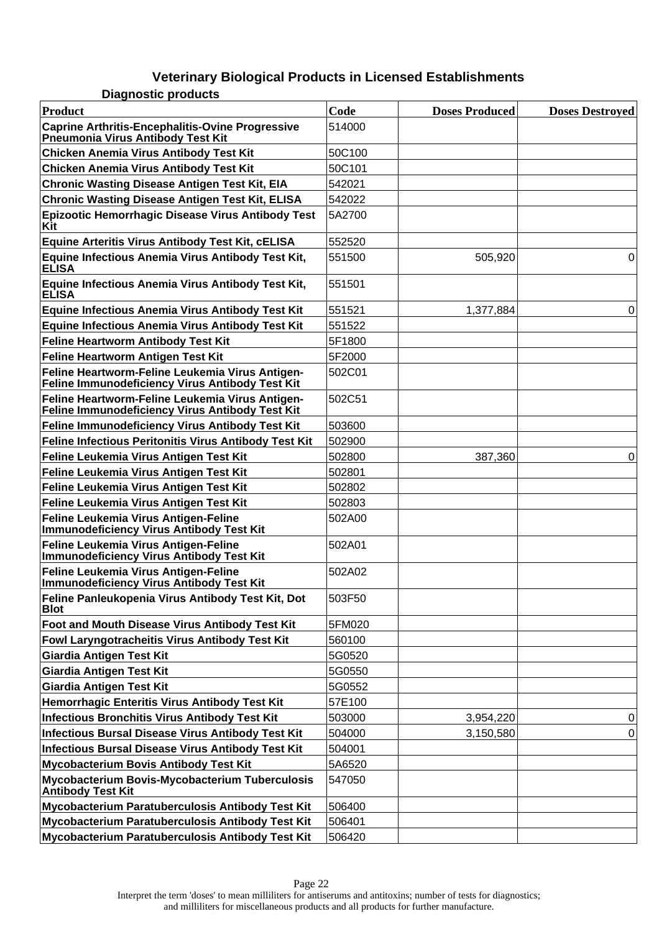| <b>Product</b>                                                                                      | Code   | <b>Doses Produced</b> | <b>Doses Destroyed</b> |
|-----------------------------------------------------------------------------------------------------|--------|-----------------------|------------------------|
| <b>Caprine Arthritis-Encephalitis-Ovine Progressive</b><br><b>Pneumonia Virus Antibody Test Kit</b> | 514000 |                       |                        |
| <b>Chicken Anemia Virus Antibody Test Kit</b>                                                       | 50C100 |                       |                        |
| <b>Chicken Anemia Virus Antibody Test Kit</b>                                                       | 50C101 |                       |                        |
| <b>Chronic Wasting Disease Antigen Test Kit, EIA</b>                                                | 542021 |                       |                        |
| <b>Chronic Wasting Disease Antigen Test Kit, ELISA</b>                                              | 542022 |                       |                        |
| Epizootic Hemorrhagic Disease Virus Antibody Test<br>Kit                                            | 5A2700 |                       |                        |
| Equine Arteritis Virus Antibody Test Kit, cELISA                                                    | 552520 |                       |                        |
| Equine Infectious Anemia Virus Antibody Test Kit,<br><b>ELISA</b>                                   | 551500 | 505,920               | 0                      |
| Equine Infectious Anemia Virus Antibody Test Kit,<br><b>ELISA</b>                                   | 551501 |                       |                        |
| <b>Equine Infectious Anemia Virus Antibody Test Kit</b>                                             | 551521 | 1,377,884             | 0                      |
| <b>Equine Infectious Anemia Virus Antibody Test Kit</b>                                             | 551522 |                       |                        |
| <b>Feline Heartworm Antibody Test Kit</b>                                                           | 5F1800 |                       |                        |
| Feline Heartworm Antigen Test Kit                                                                   | 5F2000 |                       |                        |
| Feline Heartworm-Feline Leukemia Virus Antigen-<br>Feline Immunodeficiency Virus Antibody Test Kit  | 502C01 |                       |                        |
| Feline Heartworm-Feline Leukemia Virus Antigen-<br>Feline Immunodeficiency Virus Antibody Test Kit  | 502C51 |                       |                        |
| Feline Immunodeficiency Virus Antibody Test Kit                                                     | 503600 |                       |                        |
| <b>Feline Infectious Peritonitis Virus Antibody Test Kit</b>                                        | 502900 |                       |                        |
| Feline Leukemia Virus Antigen Test Kit                                                              | 502800 | 387,360               | $\pmb{0}$              |
| Feline Leukemia Virus Antigen Test Kit                                                              | 502801 |                       |                        |
| Feline Leukemia Virus Antigen Test Kit                                                              | 502802 |                       |                        |
| Feline Leukemia Virus Antigen Test Kit                                                              | 502803 |                       |                        |
| Feline Leukemia Virus Antigen-Feline<br><b>Immunodeficiency Virus Antibody Test Kit</b>             | 502A00 |                       |                        |
| Feline Leukemia Virus Antigen-Feline<br><b>Immunodeficiency Virus Antibody Test Kit</b>             | 502A01 |                       |                        |
| Feline Leukemia Virus Antigen-Feline<br><b>Immunodeficiency Virus Antibody Test Kit</b>             | 502A02 |                       |                        |
| Feline Panleukopenia Virus Antibody Test Kit, Dot<br><b>Blot</b>                                    | 503F50 |                       |                        |
| Foot and Mouth Disease Virus Antibody Test Kit                                                      | 5FM020 |                       |                        |
| Fowl Laryngotracheitis Virus Antibody Test Kit                                                      | 560100 |                       |                        |
| Giardia Antigen Test Kit                                                                            | 5G0520 |                       |                        |
| <b>Giardia Antigen Test Kit</b>                                                                     | 5G0550 |                       |                        |
| <b>Giardia Antigen Test Kit</b>                                                                     | 5G0552 |                       |                        |
| Hemorrhagic Enteritis Virus Antibody Test Kit                                                       | 57E100 |                       |                        |
| <b>Infectious Bronchitis Virus Antibody Test Kit</b>                                                | 503000 | 3,954,220             | 0                      |
| <b>Infectious Bursal Disease Virus Antibody Test Kit</b>                                            | 504000 | 3,150,580             | 0                      |
| <b>Infectious Bursal Disease Virus Antibody Test Kit</b>                                            | 504001 |                       |                        |
| Mycobacterium Bovis Antibody Test Kit                                                               | 5A6520 |                       |                        |
| Mycobacterium Bovis-Mycobacterium Tuberculosis<br><b>Antibody Test Kit</b>                          | 547050 |                       |                        |
| Mycobacterium Paratuberculosis Antibody Test Kit                                                    | 506400 |                       |                        |
| Mycobacterium Paratuberculosis Antibody Test Kit                                                    | 506401 |                       |                        |
| Mycobacterium Paratuberculosis Antibody Test Kit                                                    | 506420 |                       |                        |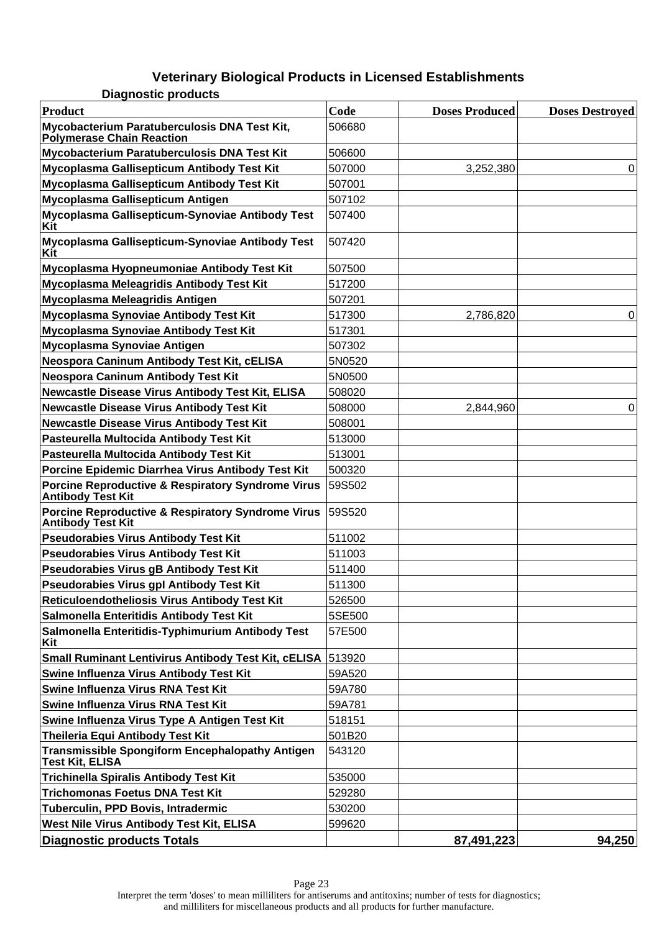**Diagnostic products**

| <b>Product</b>                                                                           | Code   | <b>Doses Produced</b> | <b>Doses Destroyed</b> |
|------------------------------------------------------------------------------------------|--------|-----------------------|------------------------|
| Mycobacterium Paratuberculosis DNA Test Kit,<br><b>Pólymerase Chain Reaction</b>         | 506680 |                       |                        |
| Mycobacterium Paratuberculosis DNA Test Kit                                              | 506600 |                       |                        |
| Mycoplasma Gallisepticum Antibody Test Kit                                               | 507000 | 3,252,380             | 0                      |
| Mycoplasma Gallisepticum Antibody Test Kit                                               | 507001 |                       |                        |
| Mycoplasma Gallisepticum Antigen                                                         | 507102 |                       |                        |
| Mycoplasma Gallisepticum-Synoviae Antibody Test<br>Kit                                   | 507400 |                       |                        |
| Mycoplasma Gallisepticum-Synoviae Antibody Test<br>Kit                                   | 507420 |                       |                        |
| Mycoplasma Hyopneumoniae Antibody Test Kit                                               | 507500 |                       |                        |
| Mycoplasma Meleagridis Antibody Test Kit                                                 | 517200 |                       |                        |
| Mycoplasma Meleagridis Antigen                                                           | 507201 |                       |                        |
| Mycoplasma Synoviae Antibody Test Kit                                                    | 517300 | 2,786,820             | 0                      |
| Mycoplasma Synoviae Antibody Test Kit                                                    | 517301 |                       |                        |
| Mycoplasma Synoviae Antigen                                                              | 507302 |                       |                        |
| Neospora Caninum Antibody Test Kit, cELISA                                               | 5N0520 |                       |                        |
| <b>Neospora Caninum Antibody Test Kit</b>                                                | 5N0500 |                       |                        |
| Newcastle Disease Virus Antibody Test Kit, ELISA                                         | 508020 |                       |                        |
| <b>Newcastle Disease Virus Antibody Test Kit</b>                                         | 508000 | 2,844,960             | 0                      |
| <b>Newcastle Disease Virus Antibody Test Kit</b>                                         | 508001 |                       |                        |
| Pasteurella Multocida Antibody Test Kit                                                  | 513000 |                       |                        |
| Pasteurella Multocida Antibody Test Kit                                                  | 513001 |                       |                        |
| Porcine Epidemic Diarrhea Virus Antibody Test Kit                                        | 500320 |                       |                        |
| <b>Porcine Reproductive &amp; Respiratory Syndrome Virus</b><br><b>Antibody Test Kit</b> | 59S502 |                       |                        |
| <b>Porcine Reproductive &amp; Respiratory Syndrome Virus</b><br><b>Antibody Test Kit</b> | 59S520 |                       |                        |
| <b>Pseudorabies Virus Antibody Test Kit</b>                                              | 511002 |                       |                        |
| <b>Pseudorabies Virus Antibody Test Kit</b>                                              | 511003 |                       |                        |
| <b>Pseudorabies Virus gB Antibody Test Kit</b>                                           | 511400 |                       |                        |
| <b>Pseudorabies Virus gpl Antibody Test Kit</b>                                          | 511300 |                       |                        |
| Reticuloendotheliosis Virus Antibody Test Kit                                            | 526500 |                       |                        |
| Salmonella Enteritidis Antibody Test Kit                                                 | 5SE500 |                       |                        |
| Salmonella Enteritidis-Typhimurium Antibody Test<br>Kit                                  | 57E500 |                       |                        |
| Small Ruminant Lentivirus Antibody Test Kit, cELISA 513920                               |        |                       |                        |
| Swine Influenza Virus Antibody Test Kit                                                  | 59A520 |                       |                        |
| Swine Influenza Virus RNA Test Kit                                                       | 59A780 |                       |                        |
| Swine Influenza Virus RNA Test Kit                                                       | 59A781 |                       |                        |
| Swine Influenza Virus Type A Antigen Test Kit                                            | 518151 |                       |                        |
| <b>Theileria Equi Antibody Test Kit</b>                                                  | 501B20 |                       |                        |
| Transmissible Spongiform Encephalopathy Antigen<br><b>Test Kit, ELISA</b>                | 543120 |                       |                        |
| <b>Trichinella Spiralis Antibody Test Kit</b>                                            | 535000 |                       |                        |
| <b>Trichomonas Foetus DNA Test Kit</b>                                                   | 529280 |                       |                        |
| Tuberculin, PPD Bovis, Intradermic                                                       | 530200 |                       |                        |
| <b>West Nile Virus Antibody Test Kit, ELISA</b>                                          | 599620 |                       |                        |
| <b>Diagnostic products Totals</b>                                                        |        | 87,491,223            | 94,250                 |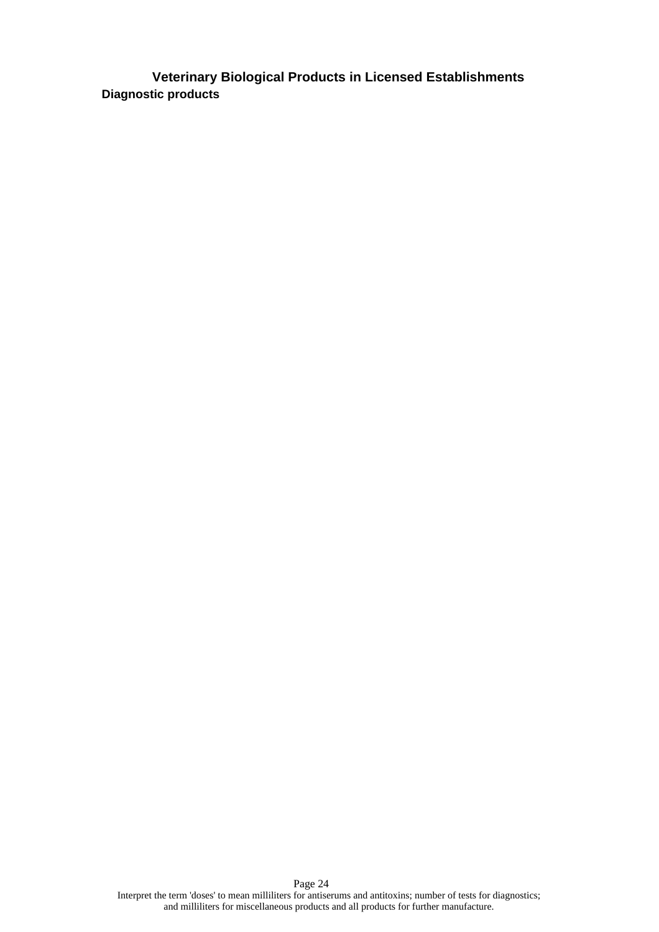**Veterinary Biological Products in Licensed Establishments Diagnostic products**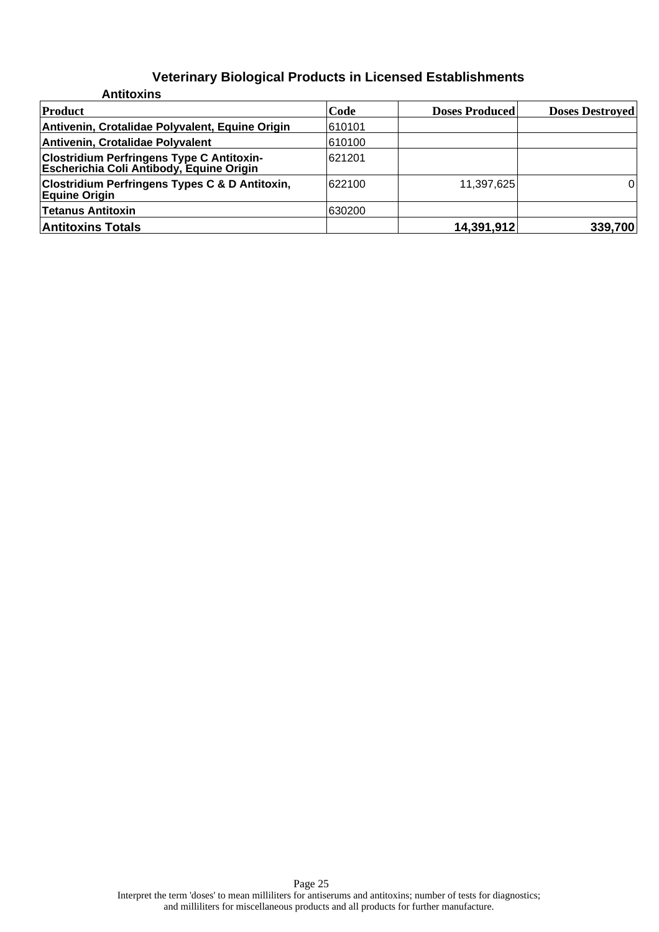| <b>Antitoxins</b>                                                                            |         |                       |                        |
|----------------------------------------------------------------------------------------------|---------|-----------------------|------------------------|
| Product                                                                                      | Code    | <b>Doses Produced</b> | <b>Doses Destroyed</b> |
| Antivenin, Crotalidae Polyvalent, Equine Origin                                              | 1610101 |                       |                        |
| Antivenin, Crotalidae Polyvalent                                                             | 610100  |                       |                        |
| <b>Clostridium Perfringens Type C Antitoxin-</b><br>Escherichia Coli Antibody, Equine Origin | 621201  |                       |                        |
| <b>Clostridium Perfringens Types C &amp; D Antitoxin,</b><br><b>Equine Origin</b>            | 622100  | 11,397,625            | 0                      |
| <b>Tetanus Antitoxin</b>                                                                     | 630200  |                       |                        |
| <b>Antitoxins Totals</b>                                                                     |         | 14,391,912            | 339,700                |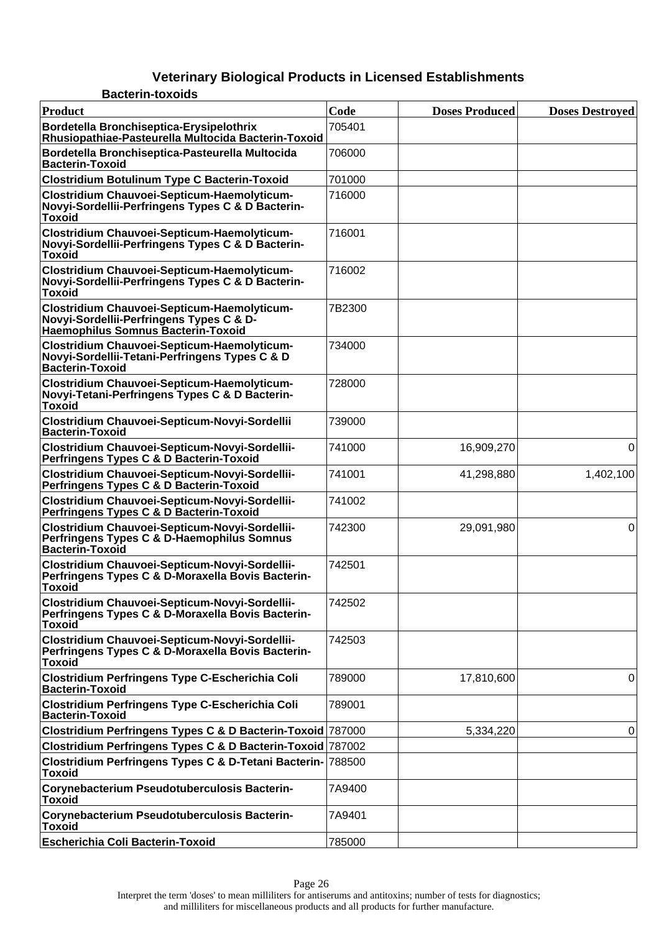#### **Veterinary Biological Products in Licensed Establishments Bacterin-toxoids**

| Product                                                                                                                       | Code   | <b>Doses Produced</b> | <b>Doses Destroyed</b> |
|-------------------------------------------------------------------------------------------------------------------------------|--------|-----------------------|------------------------|
| Bordetella Bronchiseptica-Erysipelothrix<br>Rhusiopathiae-Pasteurella Multocida Bacterin-Toxoid                               | 705401 |                       |                        |
| Bordetella Bronchiseptica-Pasteurella Multocida<br><b>Bacterin-Toxoid</b>                                                     | 706000 |                       |                        |
| <b>Clostridium Botulinum Type C Bacterin-Toxoid</b>                                                                           | 701000 |                       |                        |
| Clostridium Chauvoei-Septicum-Haemolyticum-<br>Novyi-Sordellii-Perfringens Types C & D Bacterin-<br><b>Toxoid</b>             | 716000 |                       |                        |
| Clostridium Chauvoei-Septicum-Haemolyticum-<br>Novyi-Sordellii-Perfringens Types C & D Bacterin-<br><b>Toxoid</b>             | 716001 |                       |                        |
| Clostridium Chauvoei-Septicum-Haemolyticum-<br>Novyi-Sordellii-Perfringens Types C & D Bacterin-<br><b>Toxoid</b>             | 716002 |                       |                        |
| Clostridium Chauvoei-Septicum-Haemolyticum-<br>Novyi-Sordellii-Perfringens Types C & D-<br>Haemophilus Somnus Bacterin-Toxoid | 7B2300 |                       |                        |
| Clostridium Chauvoei-Septicum-Haemolyticum-<br>Novyi-Sordellii-Tetani-Perfringens Types C & D<br><b>Bacterin-Toxoid</b>       | 734000 |                       |                        |
| Clostridium Chauvoei-Septicum-Haemolyticum-<br>Novyi-Tetani-Perfringens Types C & D Bacterin-<br><b>Toxoid</b>                | 728000 |                       |                        |
| Clostridium Chauvoei-Septicum-Novyi-Sordellii<br><b>Bacterin-Toxoid</b>                                                       | 739000 |                       |                        |
| Clostridium Chauvoei-Septicum-Novyi-Sordellii-<br>Perfringens Types C & D Bacterin-Toxoid                                     | 741000 | 16,909,270            | 0                      |
| Clostridium Chauvoei-Septicum-Novyi-Sordellii-<br>Perfringens Types C & D Bacterin-Toxoid                                     | 741001 | 41,298,880            | 1,402,100              |
| Clostridium Chauvoei-Septicum-Novyi-Sordellii-<br>Perfringens Types C & D Bacterin-Toxoid                                     | 741002 |                       |                        |
| Clostridium Chauvoei-Septicum-Novyi-Sordellii-<br>Perfringens Types C & D-Haemophilus Somnus<br><b>Bacterin-Toxoid</b>        | 742300 | 29,091,980            | 0                      |
| Clostridium Chauvoei-Septicum-Novyi-Sordellii-<br>Perfringens Types C & D-Moraxella Bovis Bacterin-<br><b>Toxoid</b>          | 742501 |                       |                        |
| Clostridium Chauvoei-Septicum-Novyi-Sordellii-<br>Perfringens Types C & D-Moraxella Bovis Bacterin-<br><b>Toxoid</b>          | 742502 |                       |                        |
| Clostridium Chauvoei-Septicum-Novyi-Sordellii-<br>Perfringens Types C & D-Moraxella Bovis Bacterin-<br><b>Toxoid</b>          | 742503 |                       |                        |
| Clostridium Perfringens Type C-Escherichia Coli<br><b>Bacterin-Toxoid</b>                                                     | 789000 | 17,810,600            | 0                      |
| <b>Clostridium Perfringens Type C-Escherichia Coli</b><br><b>Bacterin-Toxoid</b>                                              | 789001 |                       |                        |
| Clostridium Perfringens Types C & D Bacterin-Toxoid 787000                                                                    |        | 5,334,220             | 0                      |
| Clostridium Perfringens Types C & D Bacterin-Toxoid 787002                                                                    |        |                       |                        |
| Clostridium Perfringens Types C & D-Tetani Bacterin- 788500<br><b>Toxoid</b>                                                  |        |                       |                        |
| Corynebacterium Pseudotuberculosis Bacterin-<br><b>Toxoid</b>                                                                 | 7A9400 |                       |                        |
| Corynebacterium Pseudotuberculosis Bacterin-<br><b>Toxoid</b>                                                                 | 7A9401 |                       |                        |
| <b>Escherichia Coli Bacterin-Toxoid</b>                                                                                       | 785000 |                       |                        |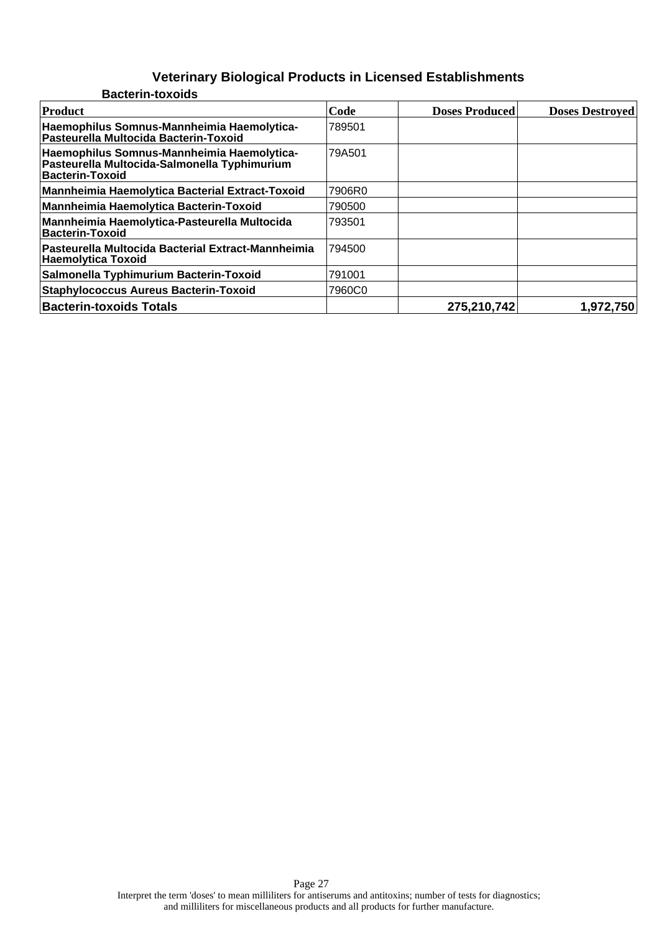| <b>Bacterin-toxoids</b>                                                                                       |        |                       |                        |
|---------------------------------------------------------------------------------------------------------------|--------|-----------------------|------------------------|
| Product                                                                                                       | Code   | <b>Doses Produced</b> | <b>Doses Destroyed</b> |
| Haemophilus Somnus-Mannheimia Haemolytica-<br>Pasteurella Multocida Bacterin-Toxoid                           | 789501 |                       |                        |
| Haemophilus Somnus-Mannheimia Haemolytica-<br>Pasteurella Multocida-Salmonella Typhimurium<br>Bacterin-Toxoid | 79A501 |                       |                        |
| Mannheimia Haemolytica Bacterial Extract-Toxoid                                                               | 7906R0 |                       |                        |
| Mannheimia Haemolytica Bacterin-Toxoid                                                                        | 790500 |                       |                        |
| Mannheimia Haemolytica-Pasteurella Multocida<br><b>Bacterin-Toxoid</b>                                        | 793501 |                       |                        |
| Pasteurella Multocida Bacterial Extract-Mannheimia<br><b>Haemolytica Toxoid</b>                               | 794500 |                       |                        |
| Salmonella Typhimurium Bacterin-Toxoid                                                                        | 791001 |                       |                        |
| <b>Staphylococcus Aureus Bacterin-Toxoid</b>                                                                  | 7960C0 |                       |                        |
| <b>Bacterin-toxoids Totals</b>                                                                                |        | 275,210,742           | 1,972,750              |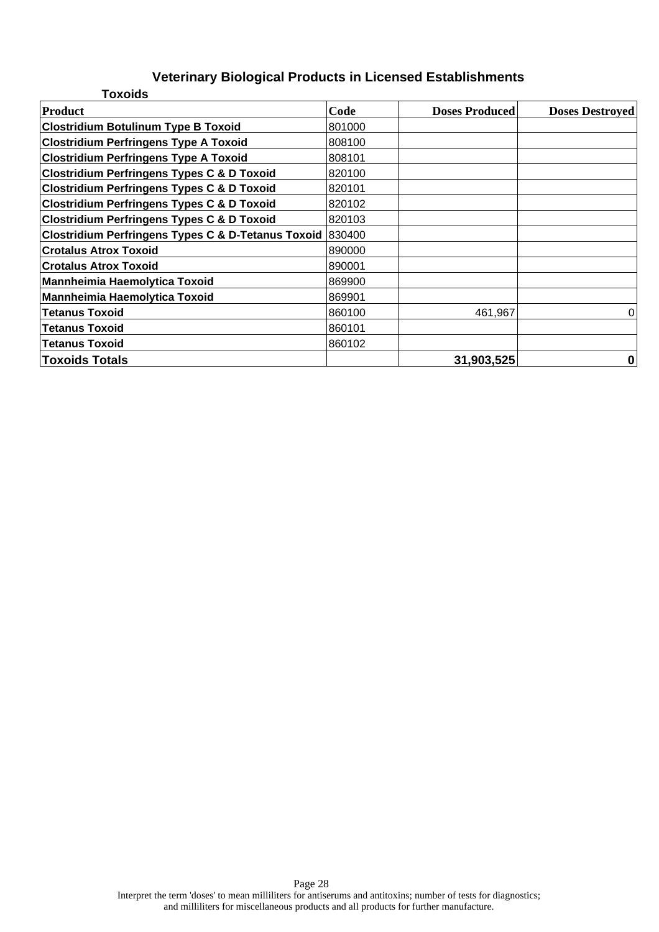| <b>Toxoids</b>                                            |        |                       |                        |
|-----------------------------------------------------------|--------|-----------------------|------------------------|
| <b>Product</b>                                            | Code   | <b>Doses Produced</b> | <b>Doses Destroyed</b> |
| <b>Clostridium Botulinum Type B Toxoid</b>                | 801000 |                       |                        |
| <b>Clostridium Perfringens Type A Toxoid</b>              | 808100 |                       |                        |
| <b>Clostridium Perfringens Type A Toxoid</b>              | 808101 |                       |                        |
| <b>Clostridium Perfringens Types C &amp; D Toxoid</b>     | 820100 |                       |                        |
| <b>Clostridium Perfringens Types C &amp; D Toxoid</b>     | 820101 |                       |                        |
| <b>Clostridium Perfringens Types C &amp; D Toxoid</b>     | 820102 |                       |                        |
| <b>Clostridium Perfringens Types C &amp; D Toxoid</b>     | 820103 |                       |                        |
| Clostridium Perfringens Types C & D-Tetanus Toxoid 830400 |        |                       |                        |
| <b>Crotalus Atrox Toxoid</b>                              | 890000 |                       |                        |
| <b>Crotalus Atrox Toxoid</b>                              | 890001 |                       |                        |
| <b>Mannheimia Haemolytica Toxoid</b>                      | 869900 |                       |                        |
| Mannheimia Haemolytica Toxoid                             | 869901 |                       |                        |
| <b>Tetanus Toxoid</b>                                     | 860100 | 461,967               | 0                      |
| <b>Tetanus Toxoid</b>                                     | 860101 |                       |                        |
| <b>Tetanus Toxoid</b>                                     | 860102 |                       |                        |
| <b>Toxoids Totals</b>                                     |        | 31,903,525            | 0                      |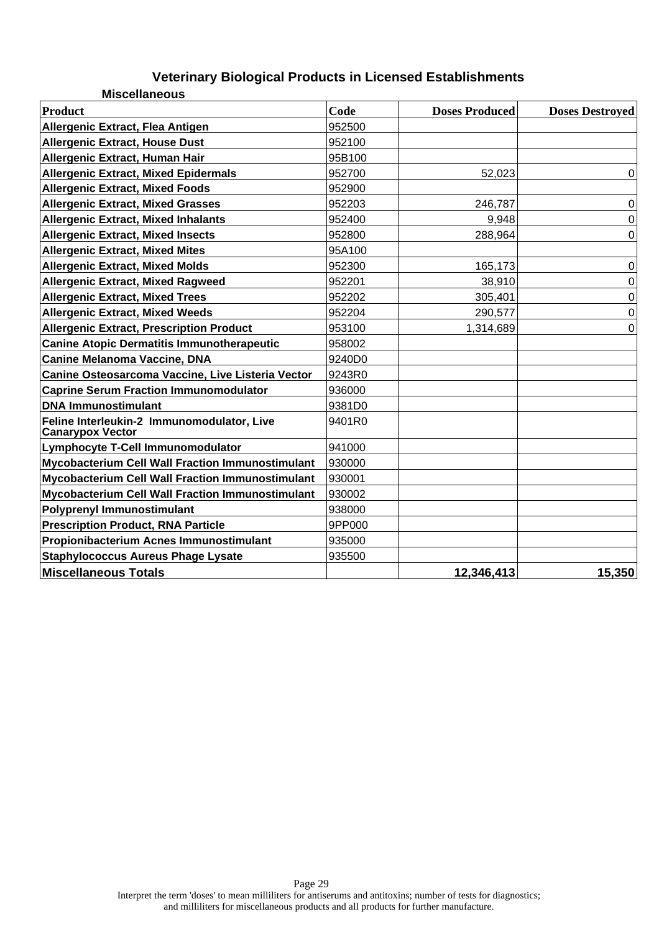| <b>Miscellaneous</b>                                                  |        |                       |                        |
|-----------------------------------------------------------------------|--------|-----------------------|------------------------|
| <b>Product</b>                                                        | Code   | <b>Doses Produced</b> | <b>Doses Destroyed</b> |
| Allergenic Extract, Flea Antigen                                      | 952500 |                       |                        |
| <b>Allergenic Extract, House Dust</b>                                 | 952100 |                       |                        |
| Allergenic Extract, Human Hair                                        | 95B100 |                       |                        |
| <b>Allergenic Extract, Mixed Epidermals</b>                           | 952700 | 52,023                | $\Omega$               |
| <b>Allergenic Extract, Mixed Foods</b>                                | 952900 |                       |                        |
| <b>Allergenic Extract, Mixed Grasses</b>                              | 952203 | 246,787               | $\boldsymbol{0}$       |
| <b>Allergenic Extract, Mixed Inhalants</b>                            | 952400 | 9,948                 | $\mathbf 0$            |
| <b>Allergenic Extract, Mixed Insects</b>                              | 952800 | 288,964               | $\overline{0}$         |
| <b>Allergenic Extract, Mixed Mites</b>                                | 95A100 |                       |                        |
| <b>Allergenic Extract, Mixed Molds</b>                                | 952300 | 165,173               | $\mathbf 0$            |
| <b>Allergenic Extract, Mixed Ragweed</b>                              | 952201 | 38,910                | 0                      |
| <b>Allergenic Extract, Mixed Trees</b>                                | 952202 | 305,401               | $\boldsymbol{0}$       |
| <b>Allergenic Extract, Mixed Weeds</b>                                | 952204 | 290,577               | $\boldsymbol{0}$       |
| <b>Allergenic Extract, Prescription Product</b>                       | 953100 | 1,314,689             | $\Omega$               |
| <b>Canine Atopic Dermatitis Immunotherapeutic</b>                     | 958002 |                       |                        |
| <b>Canine Melanoma Vaccine, DNA</b>                                   | 9240D0 |                       |                        |
| Canine Osteosarcoma Vaccine, Live Listeria Vector                     | 9243R0 |                       |                        |
| <b>Caprine Serum Fraction Immunomodulator</b>                         | 936000 |                       |                        |
| <b>DNA Immunostimulant</b>                                            | 9381D0 |                       |                        |
| Feline Interleukin-2 Immunomodulator, Live<br><b>Canarypox Vector</b> | 9401R0 |                       |                        |
| Lymphocyte T-Cell Immunomodulator                                     | 941000 |                       |                        |
| <b>Mycobacterium Cell Wall Fraction Immunostimulant</b>               | 930000 |                       |                        |
| <b>Mycobacterium Cell Wall Fraction Immunostimulant</b>               | 930001 |                       |                        |
| <b>Mycobacterium Cell Wall Fraction Immunostimulant</b>               | 930002 |                       |                        |
| <b>Polyprenyl Immunostimulant</b>                                     | 938000 |                       |                        |
| <b>Prescription Product, RNA Particle</b>                             | 9PP000 |                       |                        |
| Propionibacterium Acnes Immunostimulant                               | 935000 |                       |                        |
| <b>Staphylococcus Aureus Phage Lysate</b>                             | 935500 |                       |                        |
| <b>Miscellaneous Totals</b>                                           |        | 12,346,413            | 15,350                 |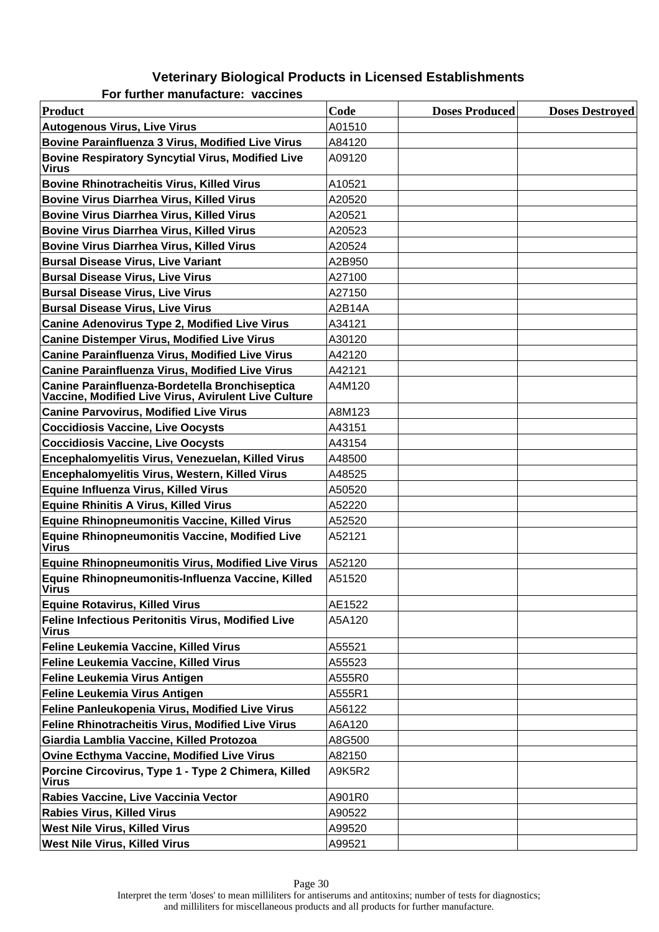#### **Veterinary Biological Products in Licensed Establishments For further manufacture: vaccines**

| Product                                                                                                | Code   | <b>Doses Produced</b> | <b>Doses Destroyed</b> |
|--------------------------------------------------------------------------------------------------------|--------|-----------------------|------------------------|
| <b>Autogenous Virus, Live Virus</b>                                                                    | A01510 |                       |                        |
| <b>Bovine Parainfluenza 3 Virus, Modified Live Virus</b>                                               | A84120 |                       |                        |
| <b>Bovine Respiratory Syncytial Virus, Modified Live</b><br><b>Virus</b>                               | A09120 |                       |                        |
| <b>Bovine Rhinotracheitis Virus, Killed Virus</b>                                                      | A10521 |                       |                        |
| <b>Bovine Virus Diarrhea Virus, Killed Virus</b>                                                       | A20520 |                       |                        |
| <b>Bovine Virus Diarrhea Virus, Killed Virus</b>                                                       | A20521 |                       |                        |
| <b>Bovine Virus Diarrhea Virus, Killed Virus</b>                                                       | A20523 |                       |                        |
| <b>Bovine Virus Diarrhea Virus, Killed Virus</b>                                                       | A20524 |                       |                        |
| <b>Bursal Disease Virus, Live Variant</b>                                                              | A2B950 |                       |                        |
| <b>Bursal Disease Virus, Live Virus</b>                                                                | A27100 |                       |                        |
| <b>Bursal Disease Virus, Live Virus</b>                                                                | A27150 |                       |                        |
| <b>Bursal Disease Virus, Live Virus</b>                                                                | A2B14A |                       |                        |
| <b>Canine Adenovirus Type 2, Modified Live Virus</b>                                                   | A34121 |                       |                        |
| <b>Canine Distemper Virus, Modified Live Virus</b>                                                     | A30120 |                       |                        |
| <b>Canine Parainfluenza Virus, Modified Live Virus</b>                                                 | A42120 |                       |                        |
| <b>Canine Parainfluenza Virus, Modified Live Virus</b>                                                 | A42121 |                       |                        |
| Canine Parainfluenza-Bordetella Bronchiseptica<br>Vaccine, Modified Live Virus, Avirulent Live Culture | A4M120 |                       |                        |
| <b>Canine Parvovirus, Modified Live Virus</b>                                                          | A8M123 |                       |                        |
| <b>Coccidiosis Vaccine, Live Oocysts</b>                                                               | A43151 |                       |                        |
| <b>Coccidiosis Vaccine, Live Oocysts</b>                                                               | A43154 |                       |                        |
| Encephalomyelitis Virus, Venezuelan, Killed Virus                                                      | A48500 |                       |                        |
| Encephalomyelitis Virus, Western, Killed Virus                                                         | A48525 |                       |                        |
| <b>Equine Influenza Virus, Killed Virus</b>                                                            | A50520 |                       |                        |
| <b>Equine Rhinitis A Virus, Killed Virus</b>                                                           | A52220 |                       |                        |
| <b>Equine Rhinopneumonitis Vaccine, Killed Virus</b>                                                   | A52520 |                       |                        |
| <b>Equine Rhinopneumonitis Vaccine, Modified Live</b><br><b>Virus</b>                                  | A52121 |                       |                        |
| <b>Equine Rhinopneumonitis Virus, Modified Live Virus</b>                                              | A52120 |                       |                        |
| Equine Rhinopneumonitis-Influenza Vaccine, Killed<br><b>Virus</b>                                      | A51520 |                       |                        |
| <b>Equine Rotavirus, Killed Virus</b>                                                                  | AE1522 |                       |                        |
| Feline Infectious Peritonitis Virus, Modified Live<br>Virus                                            | A5A120 |                       |                        |
| Feline Leukemia Vaccine, Killed Virus                                                                  | A55521 |                       |                        |
| Feline Leukemia Vaccine, Killed Virus                                                                  | A55523 |                       |                        |
| Feline Leukemia Virus Antigen                                                                          | A555R0 |                       |                        |
| <b>Feline Leukemia Virus Antigen</b>                                                                   | A555R1 |                       |                        |
| Feline Panleukopenia Virus, Modified Live Virus                                                        | A56122 |                       |                        |
| <b>Feline Rhinotracheitis Virus, Modified Live Virus</b>                                               | A6A120 |                       |                        |
| Giardia Lamblia Vaccine, Killed Protozoa                                                               | A8G500 |                       |                        |
| <b>Ovine Ecthyma Vaccine, Modified Live Virus</b>                                                      | A82150 |                       |                        |
| Porcine Circovirus, Type 1 - Type 2 Chimera, Killed<br><b>Virus</b>                                    | A9K5R2 |                       |                        |
| Rabies Vaccine, Live Vaccinia Vector                                                                   | A901R0 |                       |                        |
| <b>Rabies Virus, Killed Virus</b>                                                                      | A90522 |                       |                        |
| <b>West Nile Virus, Killed Virus</b>                                                                   | A99520 |                       |                        |
| <b>West Nile Virus, Killed Virus</b>                                                                   | A99521 |                       |                        |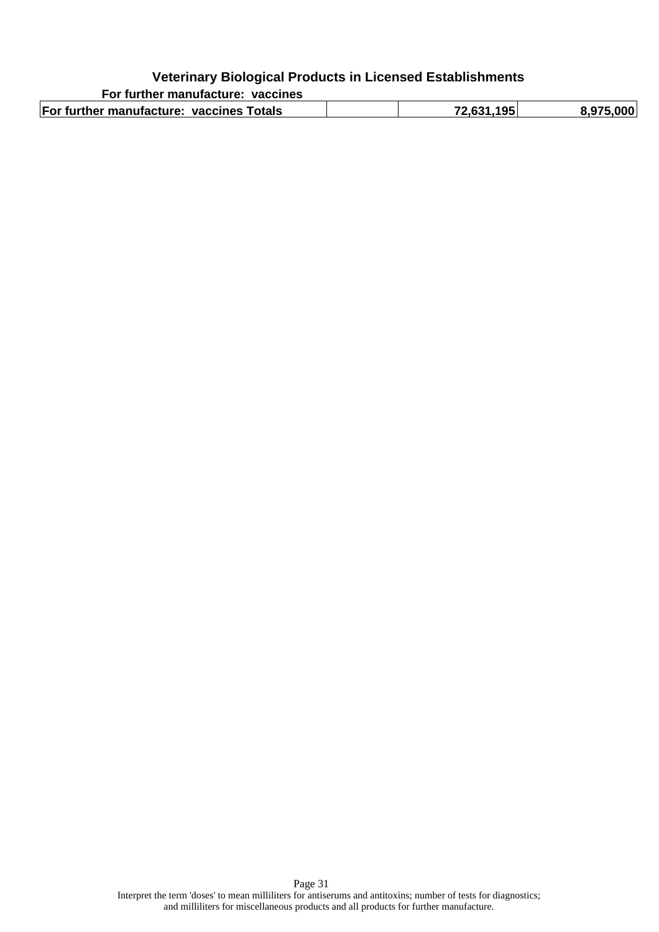| For further manufacture: vaccines        |            |           |
|------------------------------------------|------------|-----------|
| For further manufacture: vaccines Totals | 72.631.195 | 8.975.000 |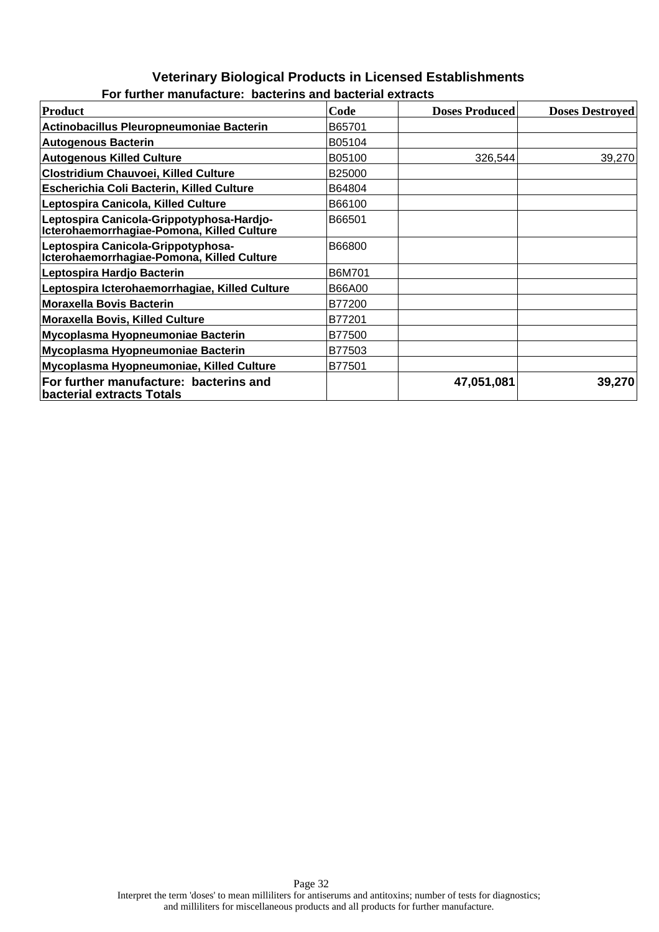#### **Veterinary Biological Products in Licensed Establishments For further manufacture: bacterins and bacterial extracts**

| <b>Product</b>                                                                          | Code          | <b>Doses Produced</b> | <b>Doses Destroyed</b> |
|-----------------------------------------------------------------------------------------|---------------|-----------------------|------------------------|
| Actinobacillus Pleuropneumoniae Bacterin                                                | B65701        |                       |                        |
| <b>Autogenous Bacterin</b>                                                              | B05104        |                       |                        |
| <b>Autogenous Killed Culture</b>                                                        | B05100        | 326,544               | 39,270                 |
| Clostridium Chauvoei, Killed Culture                                                    | B25000        |                       |                        |
| Escherichia Coli Bacterin, Killed Culture                                               | B64804        |                       |                        |
| Leptospira Canicola, Killed Culture                                                     | B66100        |                       |                        |
| Leptospira Canicola-Grippotyphosa-Hardjo-<br>Icterohaemorrhagiae-Pomona, Killed Culture | B66501        |                       |                        |
| Leptospira Canicola-Grippotyphosa-<br>Icterohaemorrhagiae-Pomona, Killed Culture        | B66800        |                       |                        |
| Leptospira Hardjo Bacterin                                                              | B6M701        |                       |                        |
| Leptospira Icterohaemorrhagiae, Killed Culture                                          | <b>B66A00</b> |                       |                        |
| <b>Moraxella Bovis Bacterin</b>                                                         | B77200        |                       |                        |
| <b>Moraxella Bovis, Killed Culture</b>                                                  | B77201        |                       |                        |
| Mycoplasma Hyopneumoniae Bacterin                                                       | B77500        |                       |                        |
| Mycoplasma Hyopneumoniae Bacterin                                                       | B77503        |                       |                        |
| Mycoplasma Hyopneumoniae, Killed Culture                                                | B77501        |                       |                        |
| For further manufacture: bacterins and<br><b>bacterial extracts Totals</b>              |               | 47,051,081            | 39,270                 |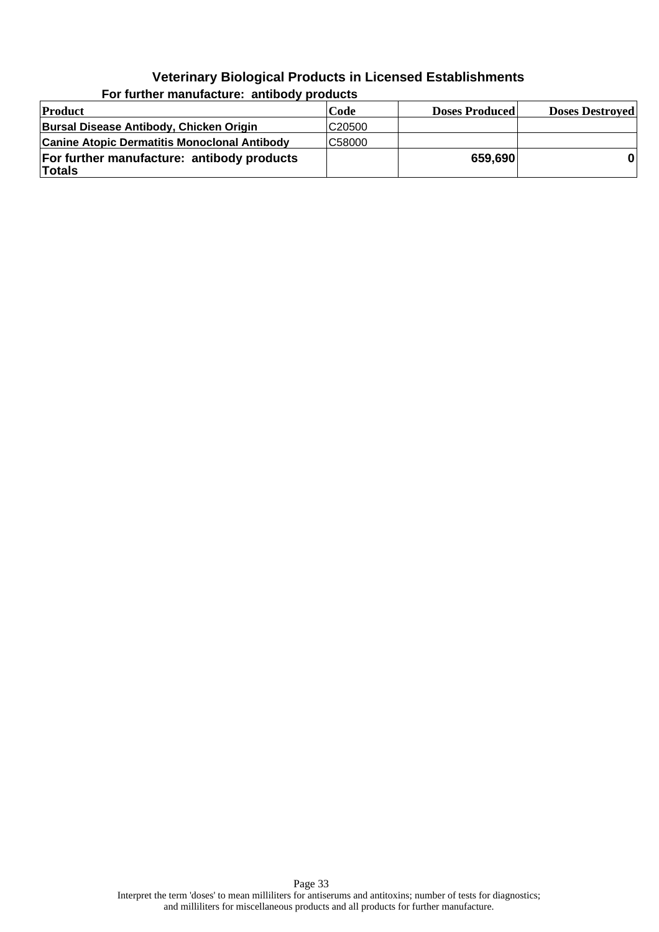| Product                                                     | Code   | <b>Doses Produced</b> | <b>Doses Destroyed</b> |
|-------------------------------------------------------------|--------|-----------------------|------------------------|
| Bursal Disease Antibody, Chicken Origin                     | C20500 |                       |                        |
| <b>Canine Atopic Dermatitis Monoclonal Antibody</b>         | C58000 |                       |                        |
| For further manufacture: antibody products<br><b>Totals</b> |        | 659,690               |                        |

**For further manufacture: antibody products**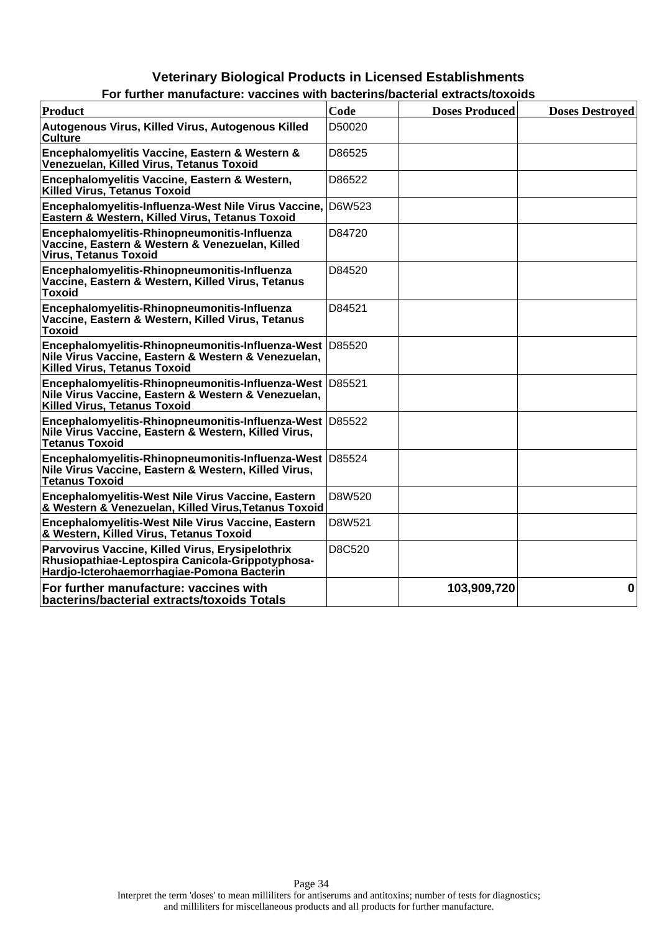| For further manufacture: vaccines with bacterins/bacterial extracts/toxolds                                                                            |        |                       |                        |  |  |
|--------------------------------------------------------------------------------------------------------------------------------------------------------|--------|-----------------------|------------------------|--|--|
| <b>Product</b>                                                                                                                                         | Code   | <b>Doses Produced</b> | <b>Doses Destroved</b> |  |  |
| Autogenous Virus, Killed Virus, Autogenous Killed<br>Culture                                                                                           | D50020 |                       |                        |  |  |
| Encephalomyelitis Vaccine, Eastern & Western &<br>Venezuelan, Killed Virus, Tetanus Toxoid                                                             | D86525 |                       |                        |  |  |
| Encephalomyelitis Vaccine, Eastern & Western,<br>Killed Virus. Tetanus Toxoid                                                                          | D86522 |                       |                        |  |  |
| Encephalomyelitis-Influenza-West Nile Virus Vaccine, D6W523<br>Eastern & Western, Killed Virus, Tetanus Toxoid                                         |        |                       |                        |  |  |
| Encephalomyelitis-Rhinopneumonitis-Influenza<br>Vaccine, Eastern & Western & Venezuelan, Killed<br><b>Virus, Tetanus Toxoid</b>                        | D84720 |                       |                        |  |  |
| Encephalomyelitis-Rhinopneumonitis-Influenza<br>Vaccine, Eastern & Western, Killed Virus, Tetanus<br><b>Toxoid</b>                                     | D84520 |                       |                        |  |  |
| Encephalomyelitis-Rhinopneumonitis-Influenza<br>Vaccine, Eastern & Western, Killed Virus, Tetanus<br><b>Toxoid</b>                                     | D84521 |                       |                        |  |  |
| Encephalomyelitis-Rhinopneumonitis-Influenza-West D85520<br>Nile Virus Vaccine, Eastern & Western & Venezuelan,<br><b>Killed Virus, Tetanus Toxoid</b> |        |                       |                        |  |  |
| Encephalomyelitis-Rhinopneumonitis-Influenza-West D85521<br>Nile Virus Vaccine, Eastern & Western & Venezuelan,<br><b>Killed Virus, Tetanus Toxoid</b> |        |                       |                        |  |  |
| Encephalomyelitis-Rhinopneumonitis-Influenza-West D85522<br>Nile Virus Vaccine, Eastern & Western, Killed Virus,<br><b>Tetanus Toxoid</b>              |        |                       |                        |  |  |
| Encephalomyelitis-Rhinopneumonitis-Influenza-West D85524<br>Nile Virus Vaccine, Eastern & Western, Killed Virus,<br><b>Tetanus Toxoid</b>              |        |                       |                        |  |  |
| Encephalomyelitis-West Nile Virus Vaccine, Eastern<br>& Western & Venezuelan, Killed Virus, Tetanus Toxoid                                             | D8W520 |                       |                        |  |  |
| Encephalomyelitis-West Nile Virus Vaccine, Eastern<br>& Western, Killed Virus, Tetanus Toxoid                                                          | D8W521 |                       |                        |  |  |
| Parvovirus Vaccine, Killed Virus, Erysipelothrix<br>Rhusiopathiae-Leptospira Canicola-Grippotyphosa-<br>Hardjo-Icterohaemorrhagiae-Pomona Bacterin     | D8C520 |                       |                        |  |  |
| For further manufacture: vaccines with<br>bacterins/bacterial extracts/toxoids Totals                                                                  |        | 103,909,720           | $\bf{0}$               |  |  |

| For further manufacture: vaccines with bacterins/bacterial extracts/toxoids |  |  |  |
|-----------------------------------------------------------------------------|--|--|--|
|                                                                             |  |  |  |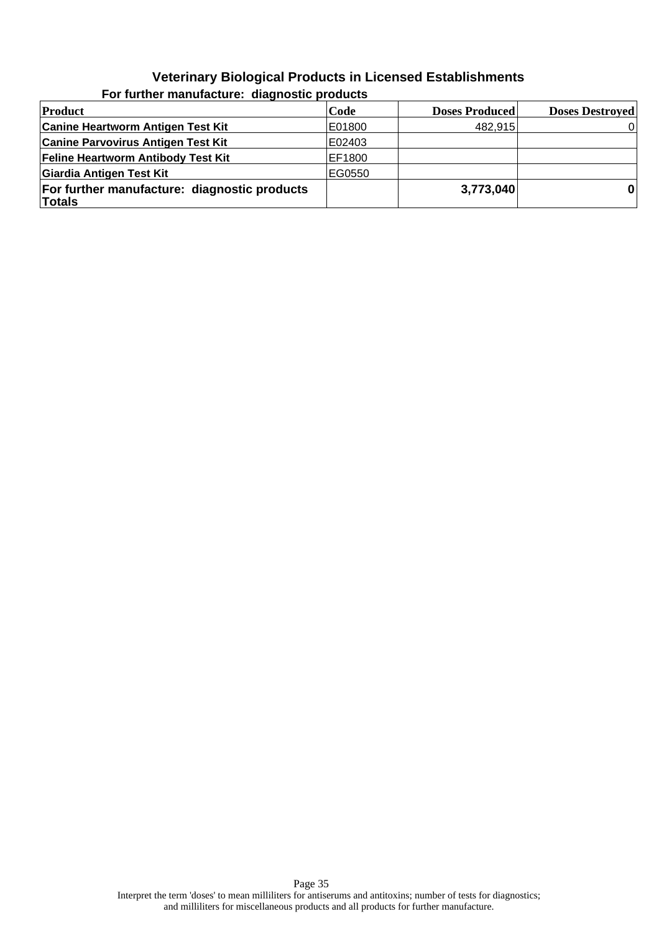| Product                                                | Code   | <b>Doses Produced</b> | <b>Doses Destroyed</b> |
|--------------------------------------------------------|--------|-----------------------|------------------------|
| <b>Canine Heartworm Antigen Test Kit</b>               | E01800 | 482,915               |                        |
| <b>Canine Parvovirus Antigen Test Kit</b>              | E02403 |                       |                        |
| <b>Feline Heartworm Antibody Test Kit</b>              | EF1800 |                       |                        |
| Giardia Antigen Test Kit                               | EG0550 |                       |                        |
| For further manufacture: diagnostic products<br>Totals |        | 3,773,040             | $\mathbf{0}$           |

**For further manufacture: diagnostic products**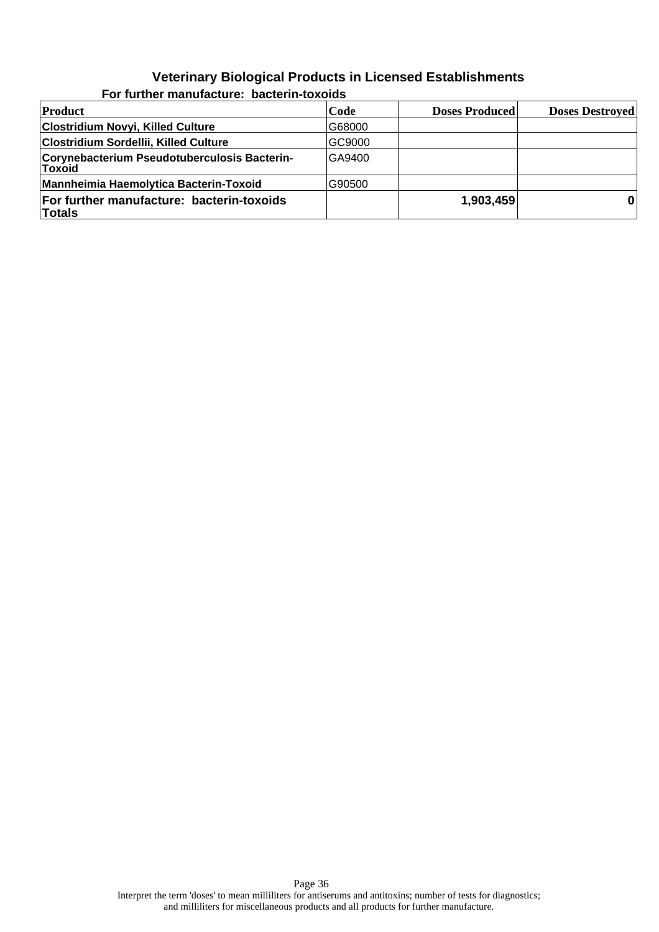| <b>Product</b>                                                | Code   | <b>Doses Produced</b> | <b>Doses Destroyed</b> |
|---------------------------------------------------------------|--------|-----------------------|------------------------|
| Clostridium Novyi, Killed Culture                             | G68000 |                       |                        |
| Clostridium Sordellii, Killed Culture                         | GC9000 |                       |                        |
| Corynebacterium Pseudotuberculosis Bacterin-<br><b>Toxoid</b> | GA9400 |                       |                        |
| <b>Mannheimia Haemolytica Bacterin-Toxoid</b>                 | G90500 |                       |                        |
| For further manufacture: bacterin-toxoids<br><b>Totals</b>    |        | 1,903,459             |                        |

#### **For further manufacture: bacterin-toxoids**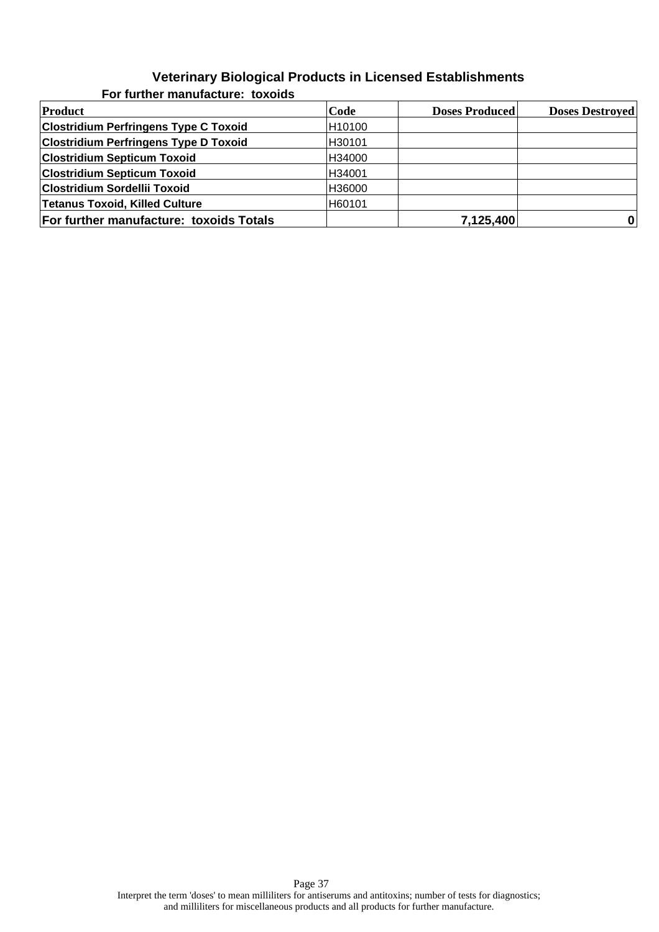| Product                                        | Code   | <b>Doses Produced</b> | <b>Doses Destroyed</b> |
|------------------------------------------------|--------|-----------------------|------------------------|
| <b>Clostridium Perfringens Type C Toxoid</b>   | H10100 |                       |                        |
| <b>Clostridium Perfringens Type D Toxoid</b>   | H30101 |                       |                        |
| <b>Clostridium Septicum Toxoid</b>             | H34000 |                       |                        |
| <b>Clostridium Septicum Toxoid</b>             | H34001 |                       |                        |
| <b>Clostridium Sordellii Toxoid</b>            | H36000 |                       |                        |
| Tetanus Toxoid, Killed Culture                 | H60101 |                       |                        |
| <b>For further manufacture: toxoids Totals</b> |        | 7,125,400             | 0                      |

**For further manufacture: toxoids**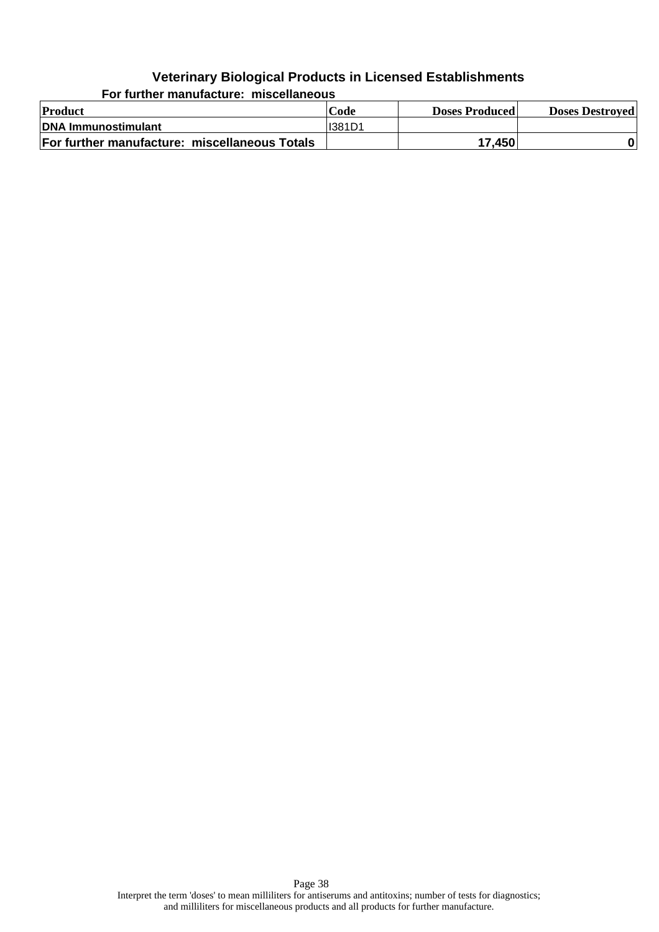**Product Code Doses Produced Doses Destroyed DNA Immunostimulant I**I381D1 **For further manufacture: miscellaneous Totals 17,450 17,450 0** 

**For further manufacture: miscellaneous**